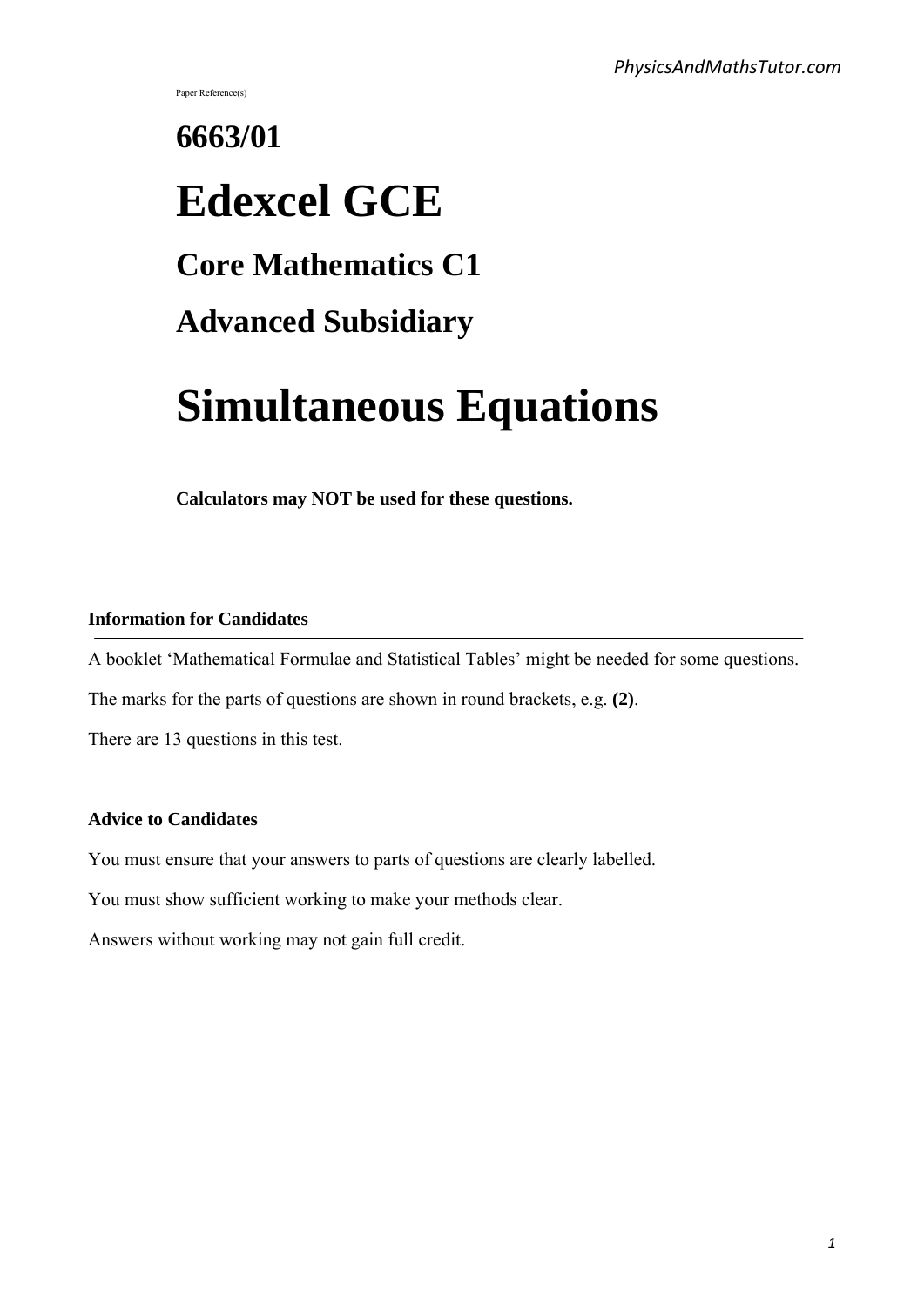Paper Reference(s)

# **6663/01 Edexcel GCE Core Mathematics C1 Advanced Subsidiary**

# **Simultaneous Equations**

**Calculators may NOT be used for these questions.**

#### **Information for Candidates**

A booklet 'Mathematical Formulae and Statistical Tables' might be needed for some questions.

The marks for the parts of questions are shown in round brackets, e.g. **(2)**.

There are 13 questions in this test.

#### **Advice to Candidates**

You must ensure that your answers to parts of questions are clearly labelled.

You must show sufficient working to make your methods clear.

Answers without working may not gain full credit.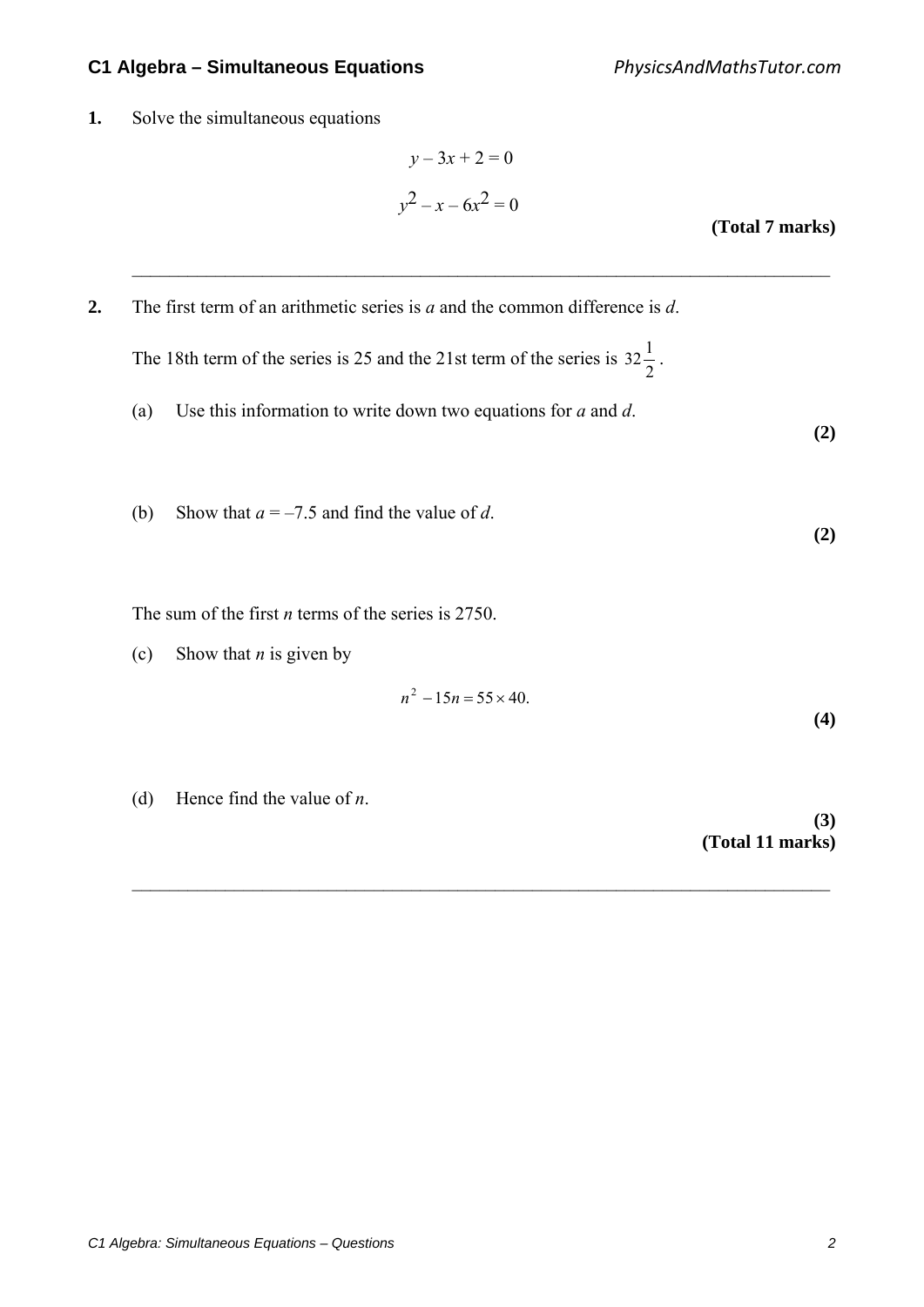**1.** Solve the simultaneous equations

$$
y-3x+2=0
$$
  

$$
y^2-x-6x^2=0
$$
 (Total 7 marks)

**2.** The first term of an arithmetic series is *a* and the common difference is *d*.

The 18th term of the series is 25 and the 21st term of the series is 2  $32\frac{1}{2}$ .

 $\mathcal{L}_\text{max} = \frac{1}{2} \sum_{i=1}^{n} \frac{1}{2} \sum_{i=1}^{n} \frac{1}{2} \sum_{i=1}^{n} \frac{1}{2} \sum_{i=1}^{n} \frac{1}{2} \sum_{i=1}^{n} \frac{1}{2} \sum_{i=1}^{n} \frac{1}{2} \sum_{i=1}^{n} \frac{1}{2} \sum_{i=1}^{n} \frac{1}{2} \sum_{i=1}^{n} \frac{1}{2} \sum_{i=1}^{n} \frac{1}{2} \sum_{i=1}^{n} \frac{1}{2} \sum_{i=1}^{n} \frac{1$ 

 $\mathcal{L}_\text{max} = \frac{1}{2} \sum_{i=1}^{n} \frac{1}{2} \sum_{i=1}^{n} \frac{1}{2} \sum_{i=1}^{n} \frac{1}{2} \sum_{i=1}^{n} \frac{1}{2} \sum_{i=1}^{n} \frac{1}{2} \sum_{i=1}^{n} \frac{1}{2} \sum_{i=1}^{n} \frac{1}{2} \sum_{i=1}^{n} \frac{1}{2} \sum_{i=1}^{n} \frac{1}{2} \sum_{i=1}^{n} \frac{1}{2} \sum_{i=1}^{n} \frac{1}{2} \sum_{i=1}^{n} \frac{1$ 

(a) Use this information to write down two equations for *a* and *d*.

(b) Show that  $a = -7.5$  and find the value of *d*.

The sum of the first *n* terms of the series is 2750.

(c) Show that *n* is given by

$$
n^2 - 15n = 55 \times 40.
$$

(d) Hence find the value of *n*.

**(3) (Total 11 marks)** 

**(2)** 

**(2)** 

**(4)**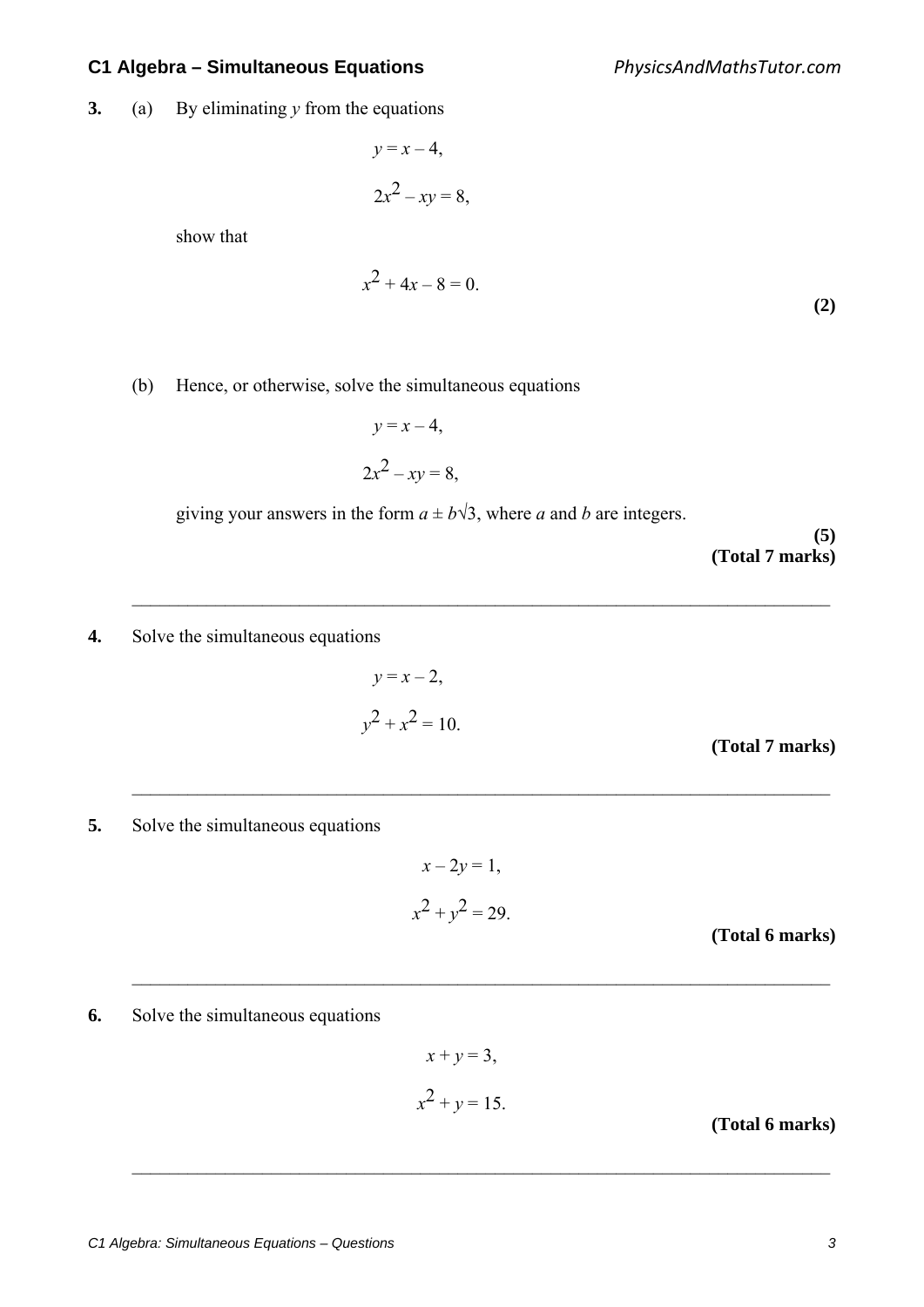*PhysicsAndMathsTutor.com*

**3.** (a) By eliminating *y* from the equations

$$
y = x - 4,
$$
  

$$
2x^2 - xy = 8,
$$

show that

$$
x^2 + 4x - 8 = 0.
$$
 (2)

(b) Hence, or otherwise, solve the simultaneous equations

$$
y = x - 4,
$$
  

$$
2x^2 - xy = 8,
$$

giving your answers in the form  $a \pm b\sqrt{3}$ , where *a* and *b* are integers.

 $\mathcal{L}_\text{max} = \frac{1}{2} \sum_{i=1}^{n} \frac{1}{2} \sum_{i=1}^{n} \frac{1}{2} \sum_{i=1}^{n} \frac{1}{2} \sum_{i=1}^{n} \frac{1}{2} \sum_{i=1}^{n} \frac{1}{2} \sum_{i=1}^{n} \frac{1}{2} \sum_{i=1}^{n} \frac{1}{2} \sum_{i=1}^{n} \frac{1}{2} \sum_{i=1}^{n} \frac{1}{2} \sum_{i=1}^{n} \frac{1}{2} \sum_{i=1}^{n} \frac{1}{2} \sum_{i=1}^{n} \frac{1$ 

**(5) (Total 7 marks)**

**4.** Solve the simultaneous equations

$$
y = x - 2,
$$
  

$$
y^2 + x^2 = 10.
$$

**(Total 7 marks)**

**5.** Solve the simultaneous equations

$$
x - 2y = 1,
$$
  

$$
x^2 + y^2 = 29.
$$

 $\mathcal{L}_\text{max} = \frac{1}{2} \sum_{i=1}^{n} \frac{1}{2} \sum_{i=1}^{n} \frac{1}{2} \sum_{i=1}^{n} \frac{1}{2} \sum_{i=1}^{n} \frac{1}{2} \sum_{i=1}^{n} \frac{1}{2} \sum_{i=1}^{n} \frac{1}{2} \sum_{i=1}^{n} \frac{1}{2} \sum_{i=1}^{n} \frac{1}{2} \sum_{i=1}^{n} \frac{1}{2} \sum_{i=1}^{n} \frac{1}{2} \sum_{i=1}^{n} \frac{1}{2} \sum_{i=1}^{n} \frac{1$ 

 $\mathcal{L}_\text{max} = \frac{1}{2} \sum_{i=1}^{n} \frac{1}{2} \sum_{i=1}^{n} \frac{1}{2} \sum_{i=1}^{n} \frac{1}{2} \sum_{i=1}^{n} \frac{1}{2} \sum_{i=1}^{n} \frac{1}{2} \sum_{i=1}^{n} \frac{1}{2} \sum_{i=1}^{n} \frac{1}{2} \sum_{i=1}^{n} \frac{1}{2} \sum_{i=1}^{n} \frac{1}{2} \sum_{i=1}^{n} \frac{1}{2} \sum_{i=1}^{n} \frac{1}{2} \sum_{i=1}^{n} \frac{1$ 

**(Total 6 marks)**

**6.** Solve the simultaneous equations

$$
x + y = 3,
$$
  

$$
x2 + y = 15.
$$

 $\mathcal{L}_\text{max} = \frac{1}{2} \sum_{i=1}^{n} \frac{1}{2} \sum_{i=1}^{n} \frac{1}{2} \sum_{i=1}^{n} \frac{1}{2} \sum_{i=1}^{n} \frac{1}{2} \sum_{i=1}^{n} \frac{1}{2} \sum_{i=1}^{n} \frac{1}{2} \sum_{i=1}^{n} \frac{1}{2} \sum_{i=1}^{n} \frac{1}{2} \sum_{i=1}^{n} \frac{1}{2} \sum_{i=1}^{n} \frac{1}{2} \sum_{i=1}^{n} \frac{1}{2} \sum_{i=1}^{n} \frac{1$ 

**(Total 6 marks)**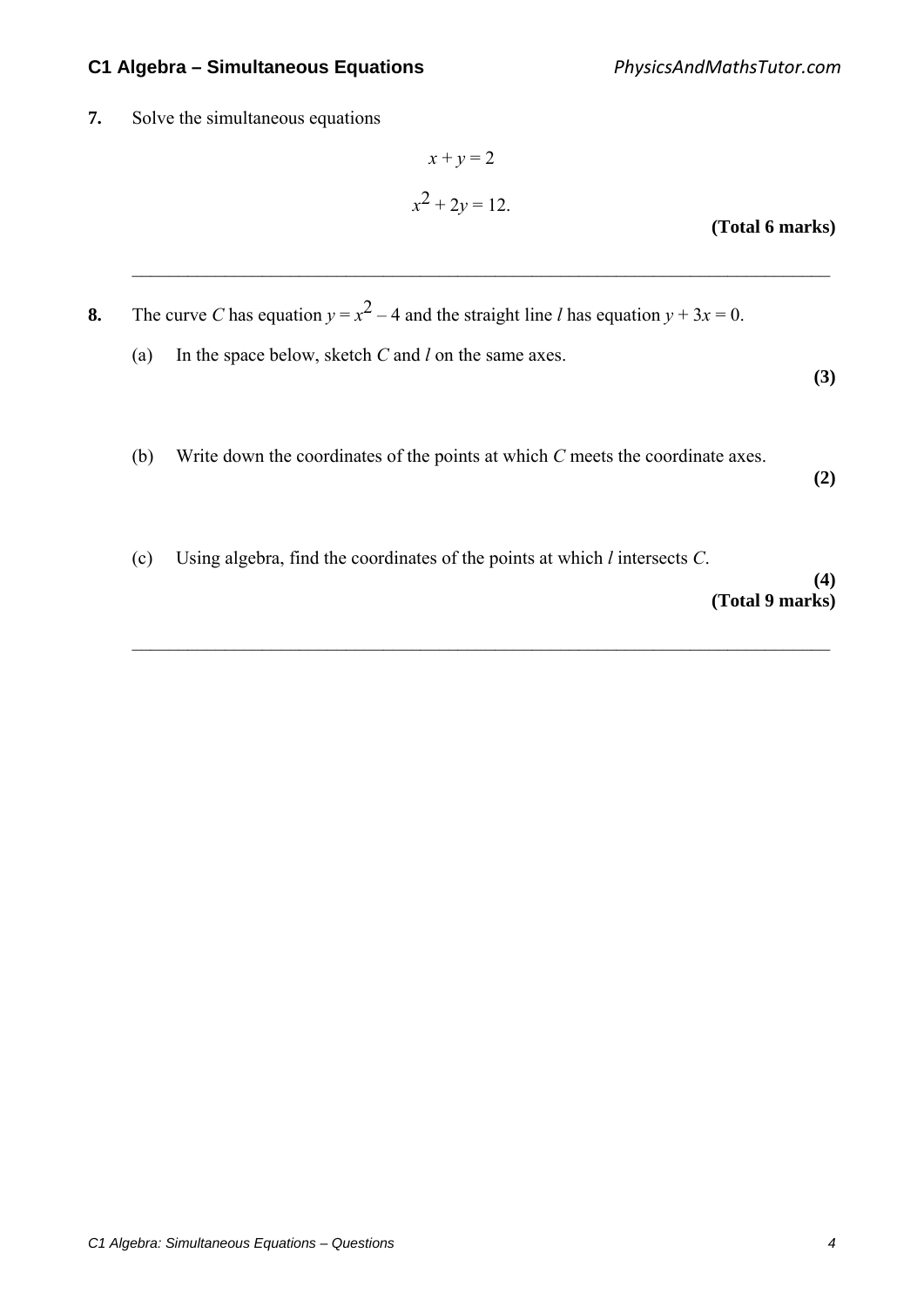**7.** Solve the simultaneous equations

$$
x + y = 2
$$
  

$$
x2 + 2y = 12.
$$
 (Total 6 marks)

**8.** The curve *C* has equation  $y = x^2 - 4$  and the straight line *l* has equation  $y + 3x = 0$ .

(a) In the space below, sketch *C* and *l* on the same axes.

**(3)** 

(b) Write down the coordinates of the points at which *C* meets the coordinate axes.

 $\mathcal{L}_\text{max} = \frac{1}{2} \sum_{i=1}^{n} \frac{1}{2} \sum_{i=1}^{n} \frac{1}{2} \sum_{i=1}^{n} \frac{1}{2} \sum_{i=1}^{n} \frac{1}{2} \sum_{i=1}^{n} \frac{1}{2} \sum_{i=1}^{n} \frac{1}{2} \sum_{i=1}^{n} \frac{1}{2} \sum_{i=1}^{n} \frac{1}{2} \sum_{i=1}^{n} \frac{1}{2} \sum_{i=1}^{n} \frac{1}{2} \sum_{i=1}^{n} \frac{1}{2} \sum_{i=1}^{n} \frac{1$ 

 $\mathcal{L}_\text{max} = \frac{1}{2} \sum_{i=1}^{n} \frac{1}{2} \sum_{i=1}^{n} \frac{1}{2} \sum_{i=1}^{n} \frac{1}{2} \sum_{i=1}^{n} \frac{1}{2} \sum_{i=1}^{n} \frac{1}{2} \sum_{i=1}^{n} \frac{1}{2} \sum_{i=1}^{n} \frac{1}{2} \sum_{i=1}^{n} \frac{1}{2} \sum_{i=1}^{n} \frac{1}{2} \sum_{i=1}^{n} \frac{1}{2} \sum_{i=1}^{n} \frac{1}{2} \sum_{i=1}^{n} \frac{1$ 

**(2)** 

(c) Using algebra, find the coordinates of the points at which *l* intersects *C*.

**(4) (Total 9 marks)**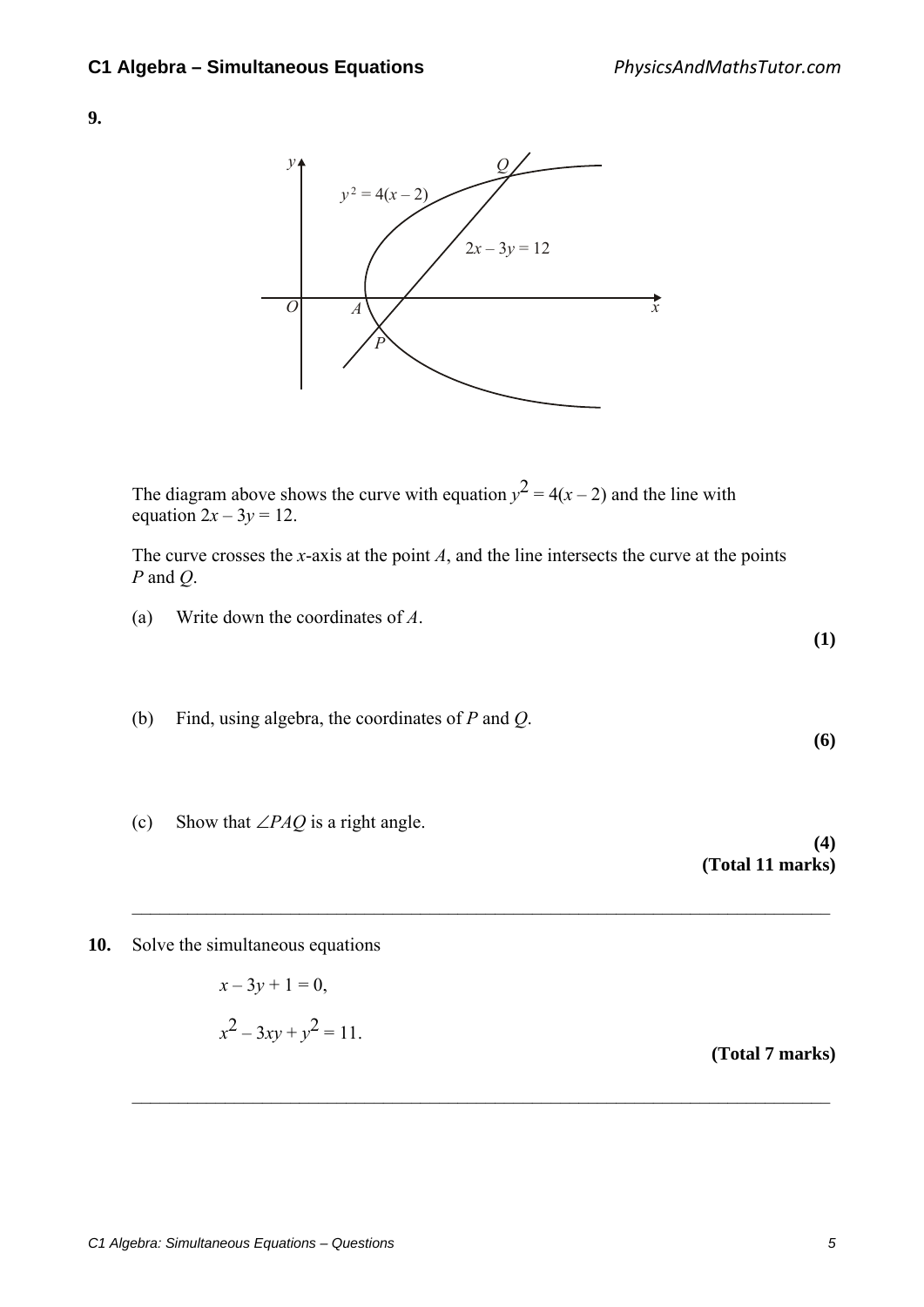



The diagram above shows the curve with equation  $y^2 = 4(x - 2)$  and the line with equation  $2x - 3y = 12$ .

 The curve crosses the *x*-axis at the point *A*, and the line intersects the curve at the points *P* and *Q*.

 $\mathcal{L}_\text{max} = \frac{1}{2} \sum_{i=1}^{n} \frac{1}{2} \sum_{i=1}^{n} \frac{1}{2} \sum_{i=1}^{n} \frac{1}{2} \sum_{i=1}^{n} \frac{1}{2} \sum_{i=1}^{n} \frac{1}{2} \sum_{i=1}^{n} \frac{1}{2} \sum_{i=1}^{n} \frac{1}{2} \sum_{i=1}^{n} \frac{1}{2} \sum_{i=1}^{n} \frac{1}{2} \sum_{i=1}^{n} \frac{1}{2} \sum_{i=1}^{n} \frac{1}{2} \sum_{i=1}^{n} \frac{1$ 

 $\mathcal{L}_\text{max} = \frac{1}{2} \sum_{i=1}^{n} \frac{1}{2} \sum_{i=1}^{n} \frac{1}{2} \sum_{i=1}^{n} \frac{1}{2} \sum_{i=1}^{n} \frac{1}{2} \sum_{i=1}^{n} \frac{1}{2} \sum_{i=1}^{n} \frac{1}{2} \sum_{i=1}^{n} \frac{1}{2} \sum_{i=1}^{n} \frac{1}{2} \sum_{i=1}^{n} \frac{1}{2} \sum_{i=1}^{n} \frac{1}{2} \sum_{i=1}^{n} \frac{1}{2} \sum_{i=1}^{n} \frac{1$ 

- (a) Write down the coordinates of *A*.
- (b) Find, using algebra, the coordinates of *P* and *Q*.
- (c) Show that ∠*PAQ* is a right angle.

**(4) (Total 11 marks)**

**(1)** 

**(6)** 

**10.** Solve the simultaneous equations

$$
x - 3y + 1 = 0,
$$
  

$$
x^2 - 3xy + y^2 = 11.
$$

**(Total 7 marks)**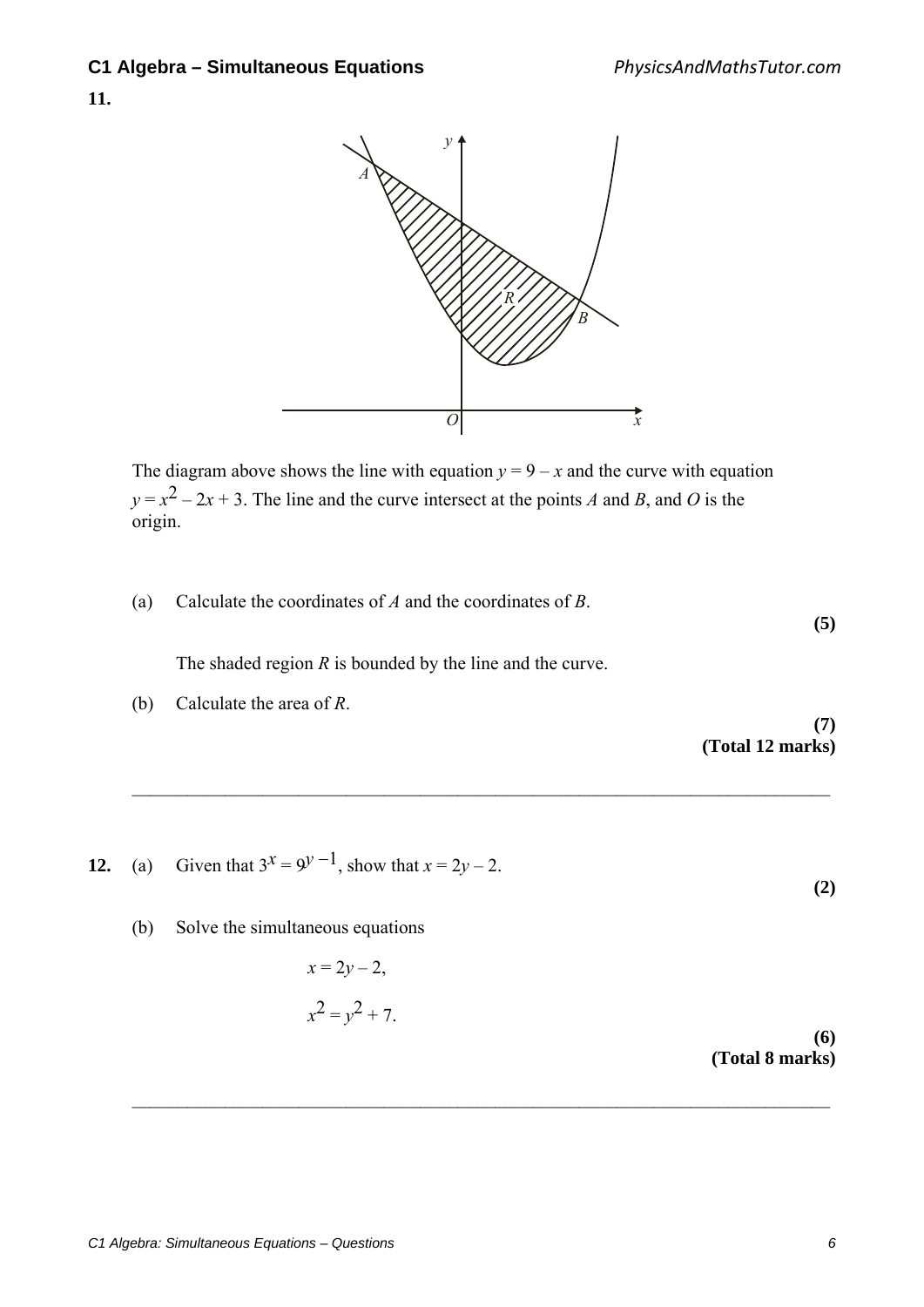**11.**



The diagram above shows the line with equation  $y = 9 - x$  and the curve with equation  $y = x^2 - 2x + 3$ . The line and the curve intersect at the points *A* and *B*, and *O* is the origin.

(a) Calculate the coordinates of *A* and the coordinates of *B*.

 $\mathcal{L}_\text{max} = \frac{1}{2} \sum_{i=1}^{n} \frac{1}{2} \sum_{i=1}^{n} \frac{1}{2} \sum_{i=1}^{n} \frac{1}{2} \sum_{i=1}^{n} \frac{1}{2} \sum_{i=1}^{n} \frac{1}{2} \sum_{i=1}^{n} \frac{1}{2} \sum_{i=1}^{n} \frac{1}{2} \sum_{i=1}^{n} \frac{1}{2} \sum_{i=1}^{n} \frac{1}{2} \sum_{i=1}^{n} \frac{1}{2} \sum_{i=1}^{n} \frac{1}{2} \sum_{i=1}^{n} \frac{1$ 

 $\mathcal{L}_\text{max} = \frac{1}{2} \sum_{i=1}^{n} \frac{1}{2} \sum_{i=1}^{n} \frac{1}{2} \sum_{i=1}^{n} \frac{1}{2} \sum_{i=1}^{n} \frac{1}{2} \sum_{i=1}^{n} \frac{1}{2} \sum_{i=1}^{n} \frac{1}{2} \sum_{i=1}^{n} \frac{1}{2} \sum_{i=1}^{n} \frac{1}{2} \sum_{i=1}^{n} \frac{1}{2} \sum_{i=1}^{n} \frac{1}{2} \sum_{i=1}^{n} \frac{1}{2} \sum_{i=1}^{n} \frac{1$ 

The shaded region *R* is bounded by the line and the curve.

(b) Calculate the area of *R*.

**(7) (Total 12 marks)** 

**(5)** 

**(2)** 

- **12.** (a) Given that  $3^x = 9^{y-1}$ , show that  $x = 2y 2$ .
	- (b) Solve the simultaneous equations

$$
x = 2y - 2,
$$
  

$$
x^2 = y^2 + 7.
$$

**(6) (Total 8 marks)**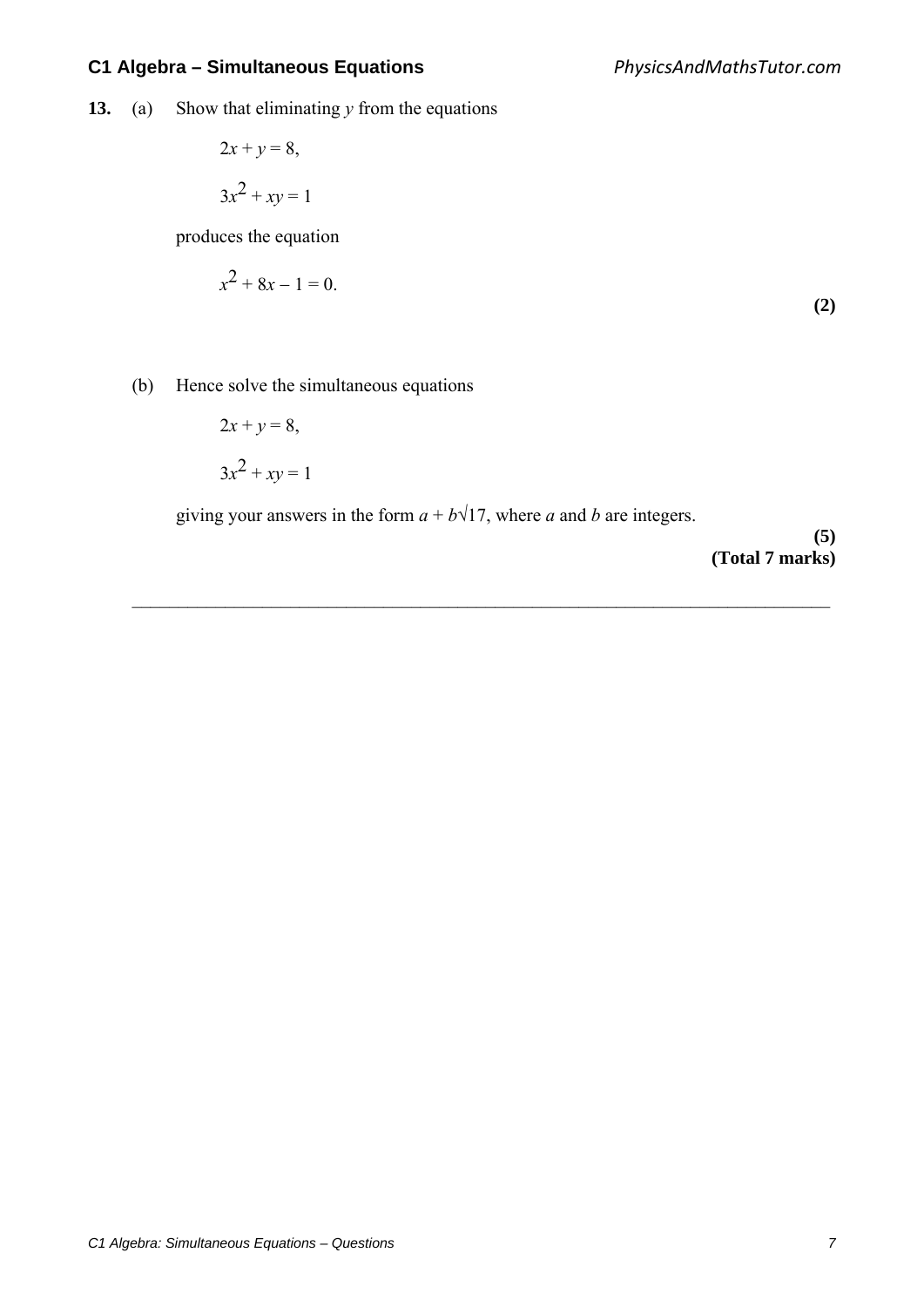**13.** (a) Show that eliminating *y* from the equations

$$
2x + y = 8,
$$
  

$$
3x2 + xy = 1
$$

produces the equation

$$
x^2 + 8x - 1 = 0.
$$

**(2)** 

(b) Hence solve the simultaneous equations

$$
2x + y = 8,
$$
  

$$
3x^2 + xy = 1
$$

giving your answers in the form 
$$
a + b\sqrt{17}
$$
, where *a* and *b* are integers.

 $\mathcal{L}_\text{max} = \frac{1}{2} \sum_{i=1}^{n} \frac{1}{2} \sum_{i=1}^{n} \frac{1}{2} \sum_{i=1}^{n} \frac{1}{2} \sum_{i=1}^{n} \frac{1}{2} \sum_{i=1}^{n} \frac{1}{2} \sum_{i=1}^{n} \frac{1}{2} \sum_{i=1}^{n} \frac{1}{2} \sum_{i=1}^{n} \frac{1}{2} \sum_{i=1}^{n} \frac{1}{2} \sum_{i=1}^{n} \frac{1}{2} \sum_{i=1}^{n} \frac{1}{2} \sum_{i=1}^{n} \frac{1$ 

**(5) (Total 7 marks)**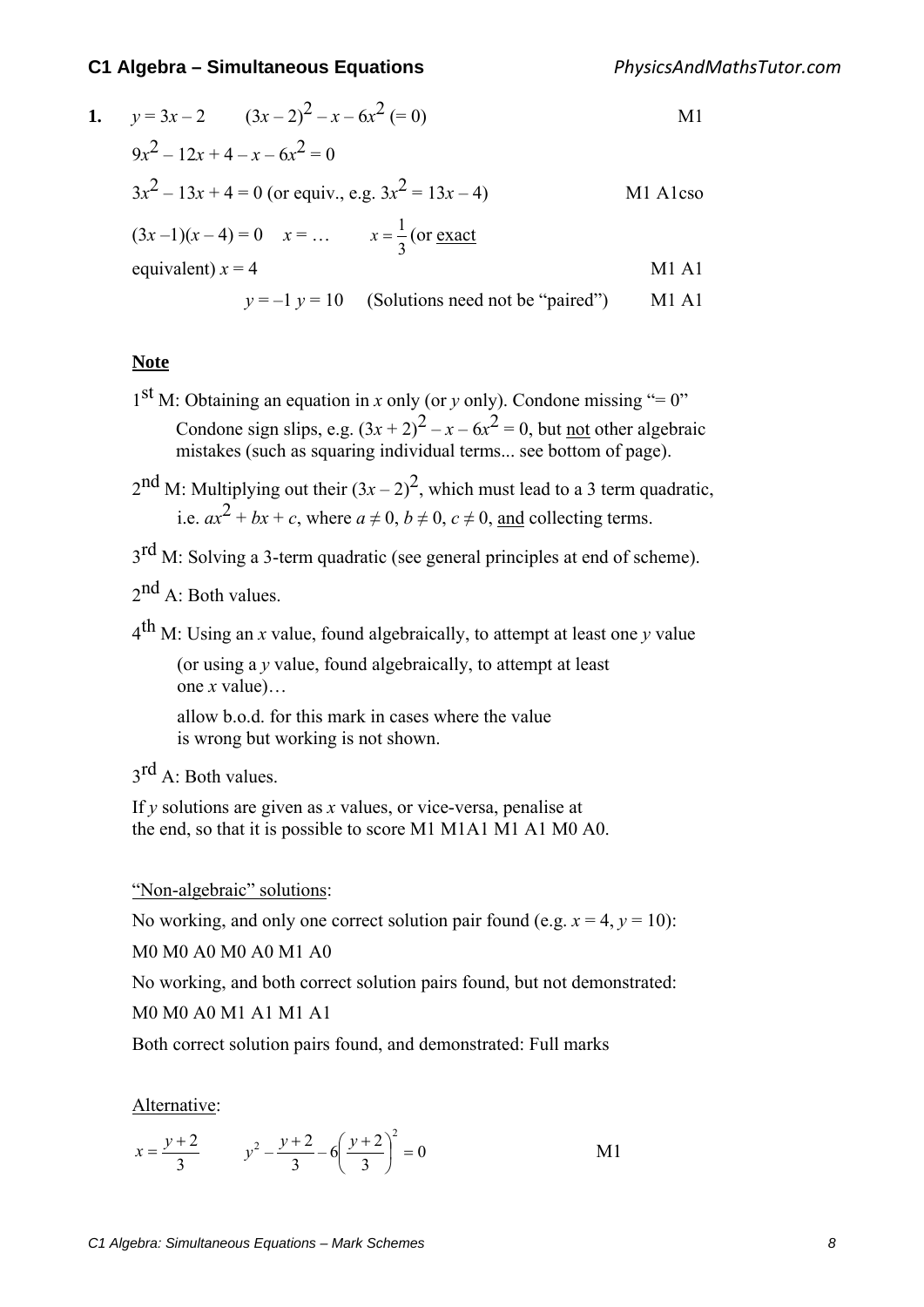*PhysicsAndMathsTutor.com*

| 1. $y=3x-2$ $(3x-2)^2-x-6x^2 (=0)$                           | M1                                |
|--------------------------------------------------------------|-----------------------------------|
| $9x^2-12x+4-x-6x^2=0$                                        |                                   |
| $3x^{2} - 13x + 4 = 0$ (or equiv., e.g. $3x^{2} = 13x - 4$ ) | M <sub>1</sub> A <sub>1</sub> cso |
| $(3x-1)(x-4)=0$ $x = $ $x = \frac{1}{2}$ (or <u>exact</u>    |                                   |
| equivalent) $x = 4$                                          | $M1$ A <sub>1</sub>               |
| $y = -1$ $y = 10$ (Solutions need not be "paired")           | M <sub>1</sub> A <sub>1</sub>     |

#### **Note**

- 1<sup>st</sup> M: Obtaining an equation in *x* only (or *y* only). Condone missing "= 0" Condone sign slips, e.g.  $(3x + 2)^2 - x - 6x^2 = 0$ , but <u>not</u> other algebraic mistakes (such as squaring individual terms... see bottom of page).
- $2<sup>nd</sup>$  M: Multiplying out their  $(3x-2)<sup>2</sup>$ , which must lead to a 3 term quadratic, i.e.  $ax^2 + bx + c$ , where  $a \neq 0$ ,  $b \neq 0$ ,  $c \neq 0$ , and collecting terms.
- $3<sup>rd</sup>$  M: Solving a 3-term quadratic (see general principles at end of scheme).

2<sup>nd</sup> A: Both values.

4th M: Using an *x* value, found algebraically, to attempt at least one *y* value

 (or using a *y* value, found algebraically, to attempt at least one *x* value)…

 allow b.o.d. for this mark in cases where the value is wrong but working is not shown.

 $3^{rd}$  A: Both values.

If *y* solutions are given as *x* values, or vice-versa, penalise at the end, so that it is possible to score M1 M1A1 M1 A1 M0 A0.

"Non-algebraic" solutions:

No working, and only one correct solution pair found (e.g.  $x = 4$ ,  $y = 10$ ):

M0 M0 A0 M0 A0 M1 A0

No working, and both correct solution pairs found, but not demonstrated:

M0 M0 A0 M1 A1 M1 A1

Both correct solution pairs found, and demonstrated: Full marks

Alternative:

$$
x = \frac{y+2}{3} \qquad \qquad y^2 - \frac{y+2}{3} - 6\left(\frac{y+2}{3}\right)^2 = 0 \qquad \qquad \text{M1}
$$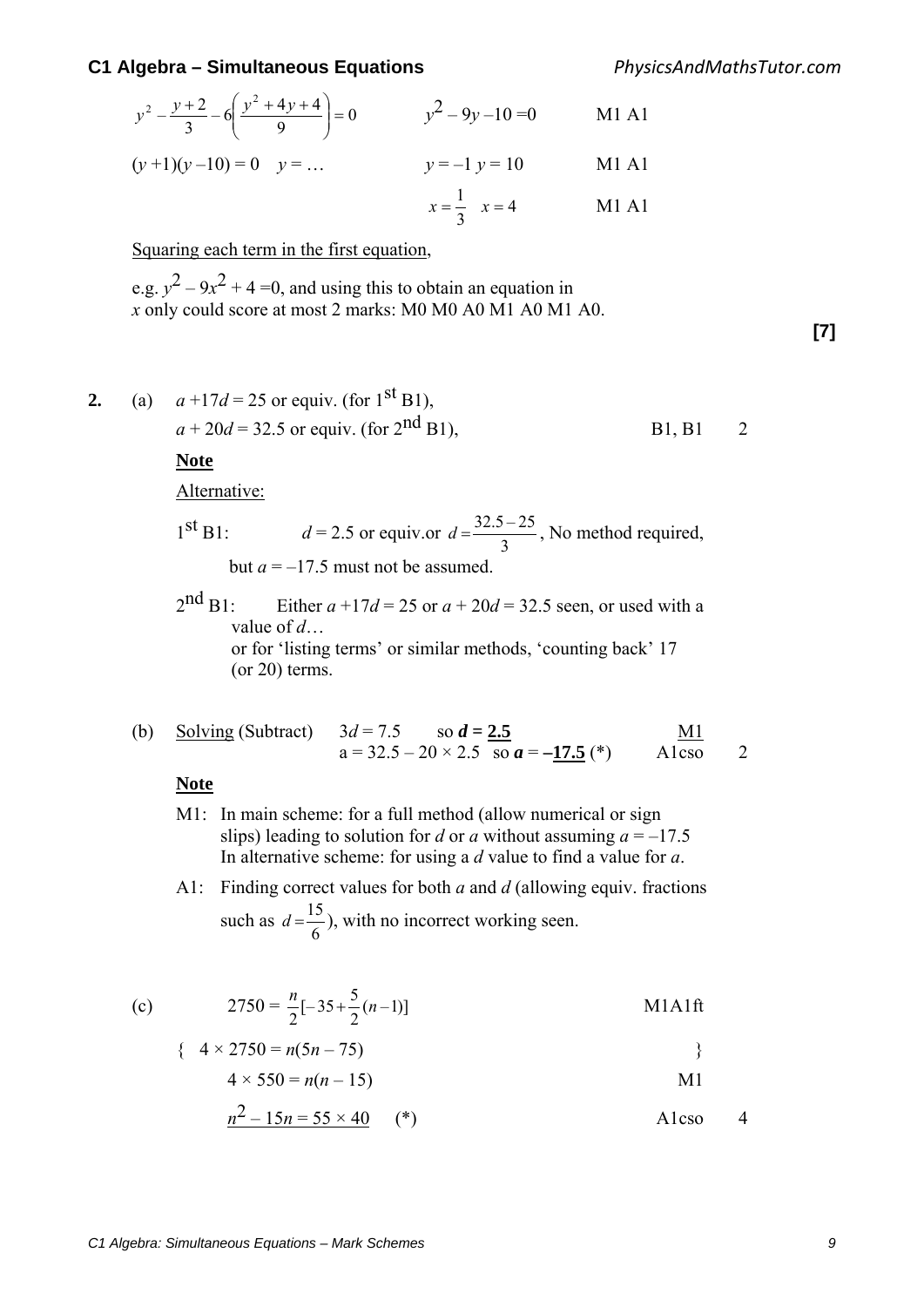*PhysicsAndMathsTutor.com*

$$
y^{2} - \frac{y+2}{3} - 6\left(\frac{y^{2} + 4y + 4}{9}\right) = 0
$$
  

$$
(y+1)(y-10) = 0 \quad y = ...
$$
  

$$
y = -1 \quad y = 10
$$
  

$$
y = -1 \quad y = 10
$$
  
M1 A1  

$$
x = \frac{1}{3} \quad x = 4
$$
  
M1 A1

Squaring each term in the first equation,

e.g.  $y^2 - 9x^2 + 4 = 0$ , and using this to obtain an equation in *x* only could score at most 2 marks: M0 M0 A0 M1 A0 M1 A0.

2. (a) 
$$
a + 17d = 25
$$
 or equiv. (for 1<sup>st</sup> B1),  
 $a + 20d = 32.5$  or equiv. (for 2<sup>nd</sup> B1), B1 2

**Note**

Alternative:

1<sup>st</sup> B1: 
$$
d = 2.5
$$
 or equiv. or  $d = \frac{32.5 - 25}{3}$ , No method required,

but  $a = -17.5$  must not be assumed.

 $2^{nd} B1$ : Either  $a + 17d = 25$  or  $a + 20d = 32.5$  seen, or used with a value of *d*… or for 'listing terms' or similar methods, 'counting back' 17 (or 20) terms.

(b) Solving (Subtract) 
$$
3d = 7.5
$$
 so  $d = 2.5$   
 $a = 32.5 - 20 \times 2.5$  so  $a = -17.5$  (\*) Alcso 2

#### **Note**

- M1: In main scheme: for a full method (allow numerical or sign slips) leading to solution for *d* or *a* without assuming  $a = -17.5$ In alternative scheme: for using a *d* value to find a value for *a*.
- A1: Finding correct values for both *a* and *d* (allowing equiv. fractions such as 6  $d = \frac{15}{6}$ , with no incorrect working seen.

| $2750 = \frac{n}{2}[-35 + \frac{5}{2}(n-1)]$<br>(c) | M1A1ft |
|-----------------------------------------------------|--------|
|-----------------------------------------------------|--------|

$$
\{ \quad 4 \times 2750 = n(5n - 75) \qquad \qquad \}
$$

$$
4 \times 550 = n(n-15) \tag{M1}
$$

 $n^2 - 15n = 55 \times 40$  (\*) A1cso 4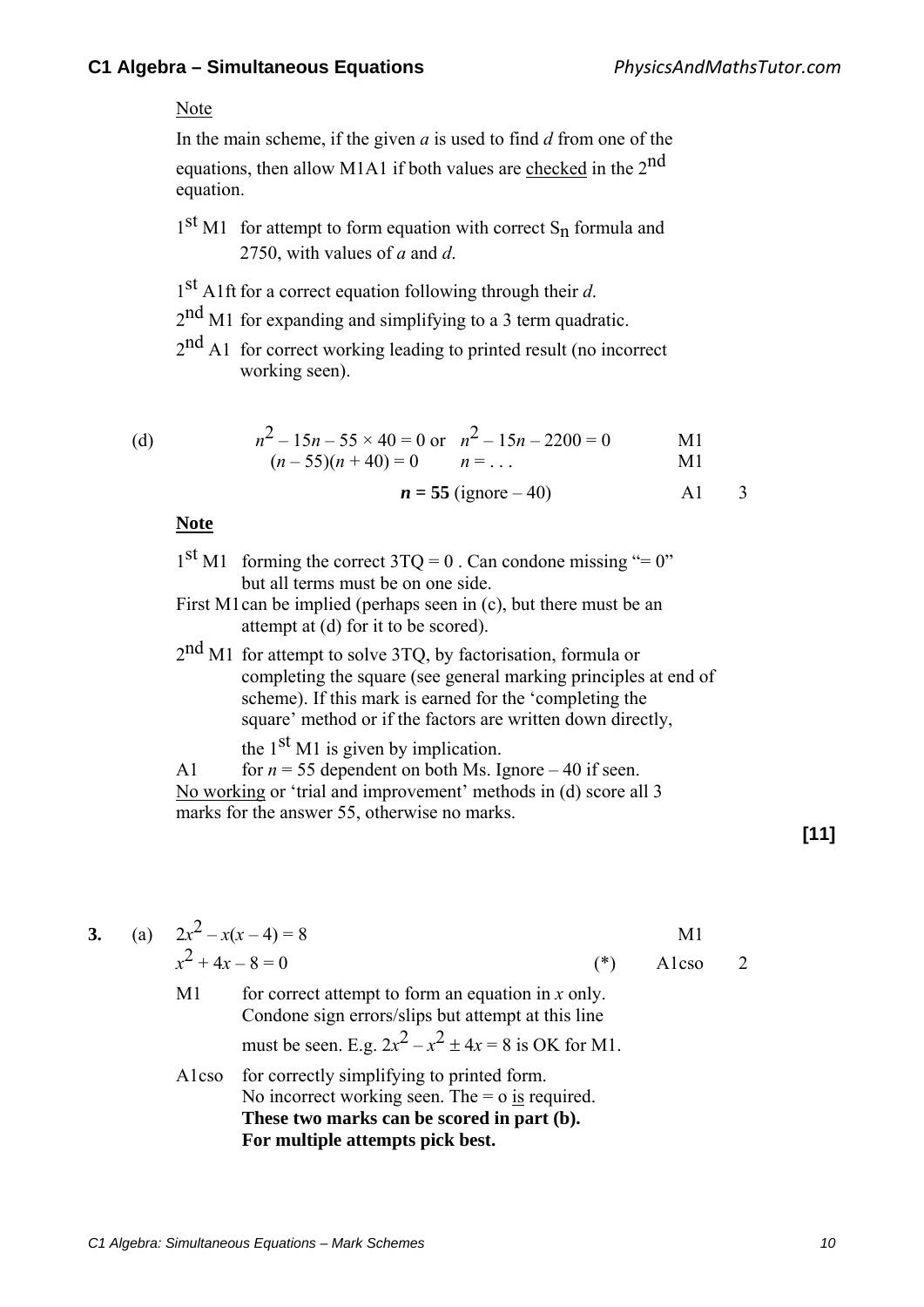#### Note

 In the main scheme, if the given *a* is used to find *d* from one of the equations, then allow M1A1 if both values are checked in the 2<sup>nd</sup> equation.

- $1<sup>st</sup>$  M1 for attempt to form equation with correct S<sub>n</sub> formula and 2750, with values of *a* and *d*.
- 1st A1ft for a correct equation following through their *d*.
- $2<sup>nd</sup>$  M1 for expanding and simplifying to a 3 term quadratic.
- 2<sup>nd</sup> A1 for correct working leading to printed result (no incorrect working seen).

(d)  $n^2 - 15n - 55 \times 40 = 0$  or  $n^2 - 15n - 2200 = 0$  M1  $(n-55)(n+40) = 0$   $n = ...$  M1

$$
n = 55
$$
 (ignore – 40) A1 3

#### **Note**

 $1<sup>st</sup>$  M1 forming the correct 3TQ = 0. Can condone missing "= 0" but all terms must be on one side.

- First M1can be implied (perhaps seen in (c), but there must be an attempt at (d) for it to be scored).
- 2nd M1 for attempt to solve 3TQ, by factorisation, formula or completing the square (see general marking principles at end of scheme). If this mark is earned for the 'completing the square' method or if the factors are written down directly,

the  $1<sup>st</sup> M1$  is given by implication.

A1 for  $n = 55$  dependent on both Ms. Ignore – 40 if seen. No working or 'trial and improvement' methods in (d) score all 3 marks for the answer 55, otherwise no marks.

#### **[11]**

3. (a) 
$$
2x^2 - x(x-4) = 8
$$
  
\t $x^2 + 4x - 8 = 0$   
\t $x^2 + 4x - 8 = 0$   
\t $x^2 + 4x - 8 = 0$   
\t $x^2 + 4x - 8 = 0$   
\t $x^2 + 4x - 8 = 0$   
\t $x^2 + 4x - 8 = 0$   
\t $x^2 + 4x - 8 = 0$   
\t $x^2 + 4x - 8 = 0$   
\t $x^2 + 4x - 8 = 0$   
\t $x^2 + 4x - 8 = 0$   
\t $x^2 + 4x - 8 = 0$   
\t $x^2 + 4x - 8 = 0$   
\t $x^2 + 4x - 8 = 0$   
\t $x^2 + 4x - 8 = 0$   
\t $x^2 + 4x - 8 = 0$   
\t $x^2 + 4x - 8 = 0$   
\t $x^2 + 4x - 8 = 0$   
\t $x^2 + 4x - 8 = 0$   
\t $x^2 + 4x - 8 = 0$   
\t $x^2 + 4x - 8 = 0$   
\t $x^2 + 4x - 8 = 0$   
\t $x^2 + 4x - 8 = 0$   
\t $x^2 + 4x - 8 = 0$   
\t $x^2 + 4x - 8 = 0$   
\t $x^2 + 4x - 8 = 0$   
\t $x^2 + 4x - 8 = 0$   
\t $x^2 + 4x - 8 = 0$   
\t $x^2 + 4x - 8 = 0$   
\t $x^2 + 4x - 8 = 0$   
\t $x^2 + 4x - 8 = 0$   
\t $x^2 + 4x - 8 = 0$   
\t $x^2 + 4x - 8 = 0$   
\t $x^2 + 4x - 8 = 0$   
\t $x^2 + 4x - 8 = 0$   
\t $x^2 + 4x - 8 = 0$   
\t $x$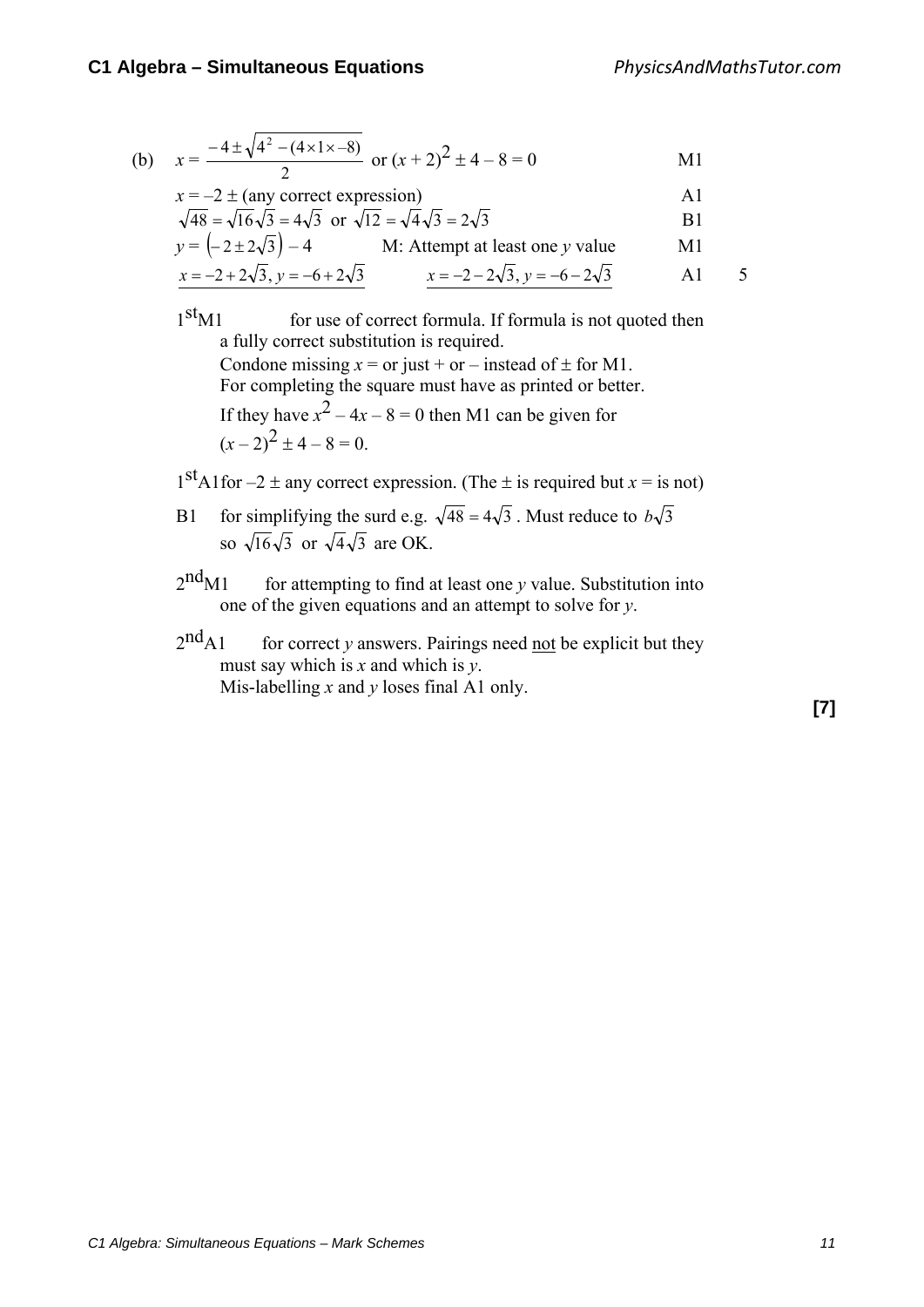(b) 
$$
x = \frac{-4 \pm \sqrt{4^2 - (4 \times 1 \times -8)}}{2}
$$
 or  $(x + 2)^2 \pm 4 - 8 = 0$  M1

$$
x = -2 \pm (any correct expression)
$$

$$
\sqrt{48} = \sqrt{16}\sqrt{3} = 4\sqrt{3}
$$
 or  $\sqrt{12} = \sqrt{4}\sqrt{3} = 2\sqrt{3}$  B1

$$
y = \left(-2 \pm 2\sqrt{3}\right) - 4
$$
 M: Attempt at least one y value M1

$$
\underline{x} = -2 + 2\sqrt{3}, \quad \underline{y} = -6 + 2\sqrt{3}
$$
\n
$$
\underline{x} = -2 - 2\sqrt{3}, \quad \underline{y} = -6 - 2\sqrt{3}
$$
\n
$$
\underline{A1}
$$
\n
$$
5
$$

 $1<sup>st</sup>M1$  for use of correct formula. If formula is not quoted then a fully correct substitution is required. Condone missing  $x =$  or just + or – instead of  $\pm$  for M1. For completing the square must have as printed or better. If they have  $x^2 - 4x - 8 = 0$  then M1 can be given for  $(x-2)^2 \pm 4 - 8 = 0$ .

- $1<sup>st</sup>A1$  for  $-2 \pm any$  correct expression. (The  $\pm$  is required but  $x =$  is not)
- B1 for simplifying the surd e.g.  $\sqrt{48} = 4\sqrt{3}$ . Must reduce to  $b\sqrt{3}$ so  $\sqrt{16}\sqrt{3}$  or  $\sqrt{4}\sqrt{3}$  are OK.
- 2<sup>nd</sup>M1 for attempting to find at least one *y* value. Substitution into one of the given equations and an attempt to solve for *y*.
- $2<sup>nd</sup>A1$  for correct *y* answers. Pairings need <u>not</u> be explicit but they must say which is *x* and which is *y*. Mis-labelling *x* and *y* loses final A1 only.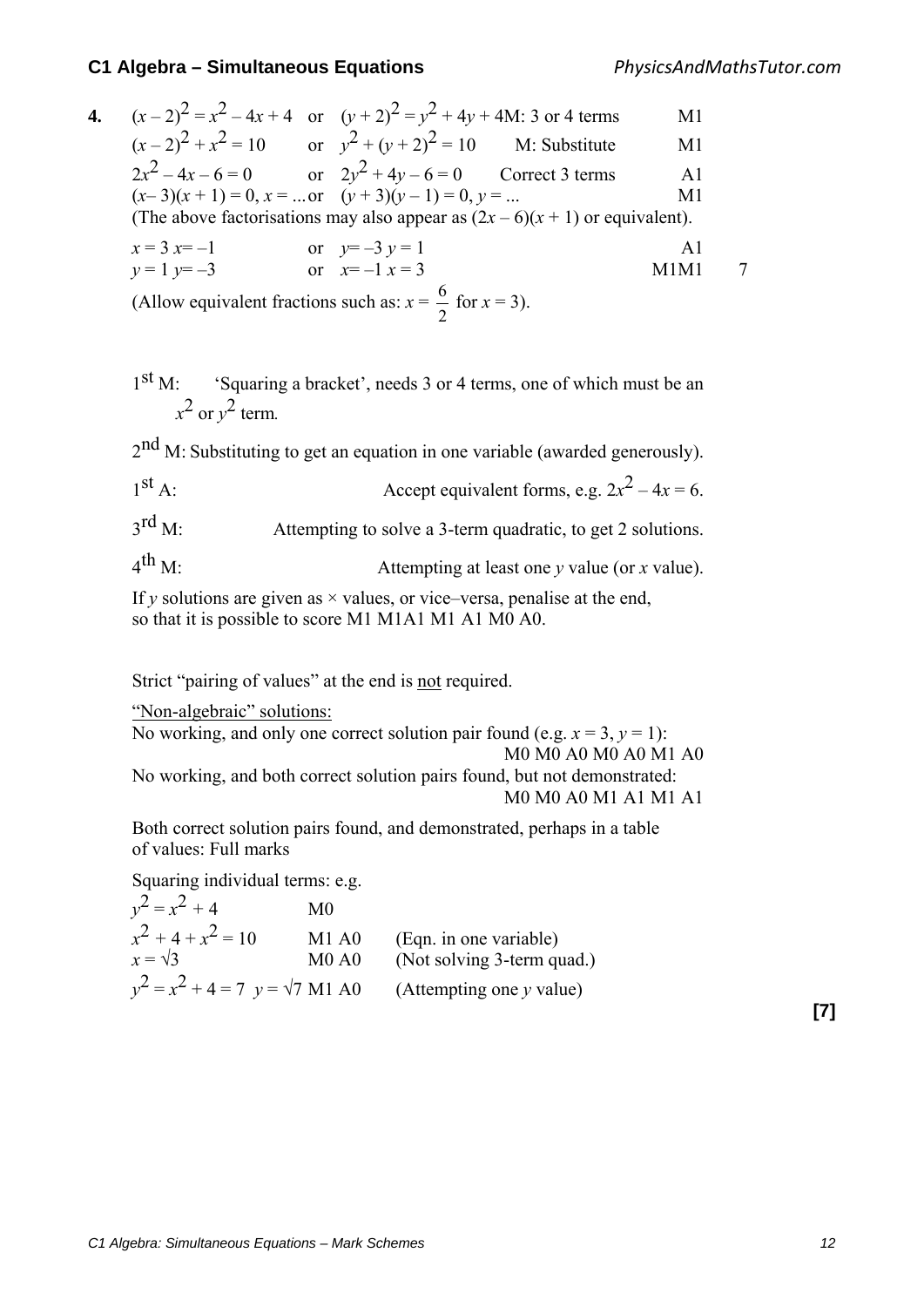| 4. $(x-2)^2 = x^2 - 4x + 4$ or $(y+2)^2 = y^2 + 4y + 4M$ : 3 or 4 terms    |                 | M1             |  |
|----------------------------------------------------------------------------|-----------------|----------------|--|
| $(x-2)^2 + x^2 = 10$ or $y^2 + (y+2)^2 = 10$ M: Substitute                 |                 | M1             |  |
| $2x^2 - 4x - 6 = 0$ or $2y^2 + 4y - 6 = 0$ Correct 3 terms                 |                 | A <sub>1</sub> |  |
| $(x-3)(x + 1) = 0$ , $x = $ or $(y + 3)(y - 1) = 0$ , $y = $               |                 | M1             |  |
| (The above factorisations may also appear as $(2x-6)(x+1)$ or equivalent). |                 |                |  |
| $x = 3$ $x=-1$                                                             | or $y=-3 y = 1$ | A <sub>1</sub> |  |
| $y = 1$ $y=-3$                                                             | or $x=-1$ $x=3$ | M1M1           |  |
| (Allow equivalent fractions such as: $x = \frac{6}{2}$ for $x = 3$ ).      |                 |                |  |

 $1<sup>st</sup>$  M: 'Squaring a bracket', needs 3 or 4 terms, one of which must be an  $x^2$  or  $y^2$  term.

 $2<sup>nd</sup>$  M: Substituting to get an equation in one variable (awarded generously).

1<sup>st</sup> A: Accept equivalent forms, e.g.  $2x^2 - 4x = 6$ .

3<sup>rd</sup> M: Attempting to solve a 3-term quadratic, to get 2 solutions.

4th M: Attempting at least one *y* value (or *x* value).

If *y* solutions are given as  $\times$  values, or vice–versa, penalise at the end, so that it is possible to score M1 M1A1 M1 A1 M0 A0.

Strict "pairing of values" at the end is not required.

"Non-algebraic" solutions:

No working, and only one correct solution pair found (e.g.  $x = 3$ ,  $y = 1$ ): M0 M0 A0 M0 A0 M1 A0 No working, and both correct solution pairs found, but not demonstrated: M0 M0 A0 M1 A1 M1 A1

 Both correct solution pairs found, and demonstrated, perhaps in a table of values: Full marks

Squaring individual terms: e.g.

 $y^2 = x^2 + 4$  M0<br> $x^2 + 4 + x^2 = 10$  M1  $x^2 + 4 + x^2 = 10$  M1 A0 (Eqn. in one variable)<br> $x = \sqrt{3}$  M0 A0 (Not solving 3-term on *(Not solving 3-term quad.)*  $v^2 = x^2 + 4 = 7$  *y* =  $\sqrt{7}$  M1 A0 (Attempting one *y* value)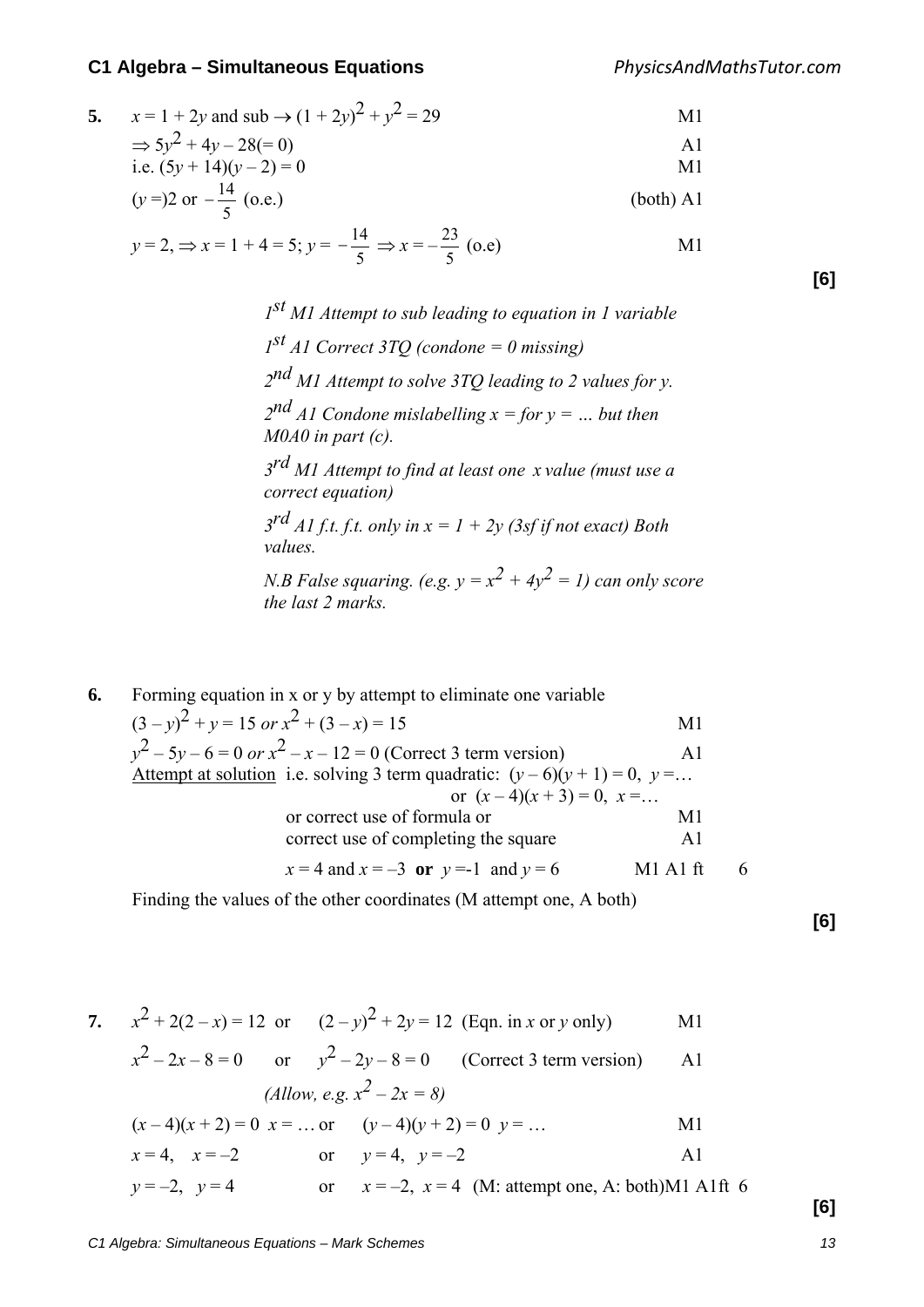| 5. | $x = 1 + 2y$ and sub $\rightarrow (1 + 2y)^2 + y^2 = 29$                                          | M1             |
|----|---------------------------------------------------------------------------------------------------|----------------|
|    | $\Rightarrow 5y^2 + 4y - 28(=0)$                                                                  | $\mathbf{A}$ 1 |
|    | i.e. $(5y + 14)(y - 2) = 0$                                                                       | M1             |
|    | $(y=)2$ or $-\frac{14}{5}$ (o.e.)                                                                 | $(both)$ A1    |
|    | $y = 2$ , $\Rightarrow$ $x = 1 + 4 = 5$ ; $y = -\frac{14}{5} \Rightarrow x = -\frac{23}{5}$ (o.e) | M1             |

*1st M1 Attempt to sub leading to equation in 1 variable 1st A1 Correct 3TQ (condone = 0 missing) 2nd M1 Attempt to solve 3TQ leading to 2 values for y.*   $2^{nd}$  A1 Condone mislabelling  $x =$  for  $y =$  ... but then *M0A0 in part (c). 3rd M1 Attempt to find at least one x value (must use a correct equation)*  $3^{rd}$  A1 f.t. f.t. only in  $x = 1 + 2y$  (3sf if not exact) Both *values.*

*N.B False squaring.* (e.g.  $y = x^2 + 4y^2 = 1$ ) can only score *the last 2 marks.* 

**6.** Forming equation in x or y by attempt to eliminate one variable  $(3-y)^2 + y = 15$  or  $x^2 + (3-x) = 15$  M1  $y^2 - 5y - 6 = 0$  *or*  $x^2 - x - 12 = 0$  (Correct 3 term version) A1 Attempt at solution i.e. solving 3 term quadratic:  $(y-6)(y+1) = 0$ ,  $y = ...$ or  $(x-4)(x+3) = 0$ ,  $x = ...$ or correct use of formula or M1 correct use of completing the square A1  $x = 4$  and  $x = -3$  or  $y = -1$  and  $y = 6$  M1 A1 ft 6

Finding the values of the other coordinates (M attempt one, A both)

**[6]**

**[6]**

7. 
$$
x^2 + 2(2-x) = 12
$$
 or  $(2-y)^2 + 2y = 12$  (Eqn. in x or y only)  
\n $x^2 - 2x - 8 = 0$  or  $y^2 - 2y - 8 = 0$  (Correct 3 term version)  
\n*(Allow, e.g. x<sup>2</sup> - 2x = 8)*  
\n $(x-4)(x+2) = 0$  x = ... or  $(y-4)(y+2) = 0$  y = ...  
\n $x = 4$ ,  $x = -2$  or  $y = 4$ ,  $y = -2$   
\ny = -2,  $y = 4$  or  $x = -2$ ,  $x = 4$  (M: attempt one, A: both)  
\nM1 A1ff 6

**[6]**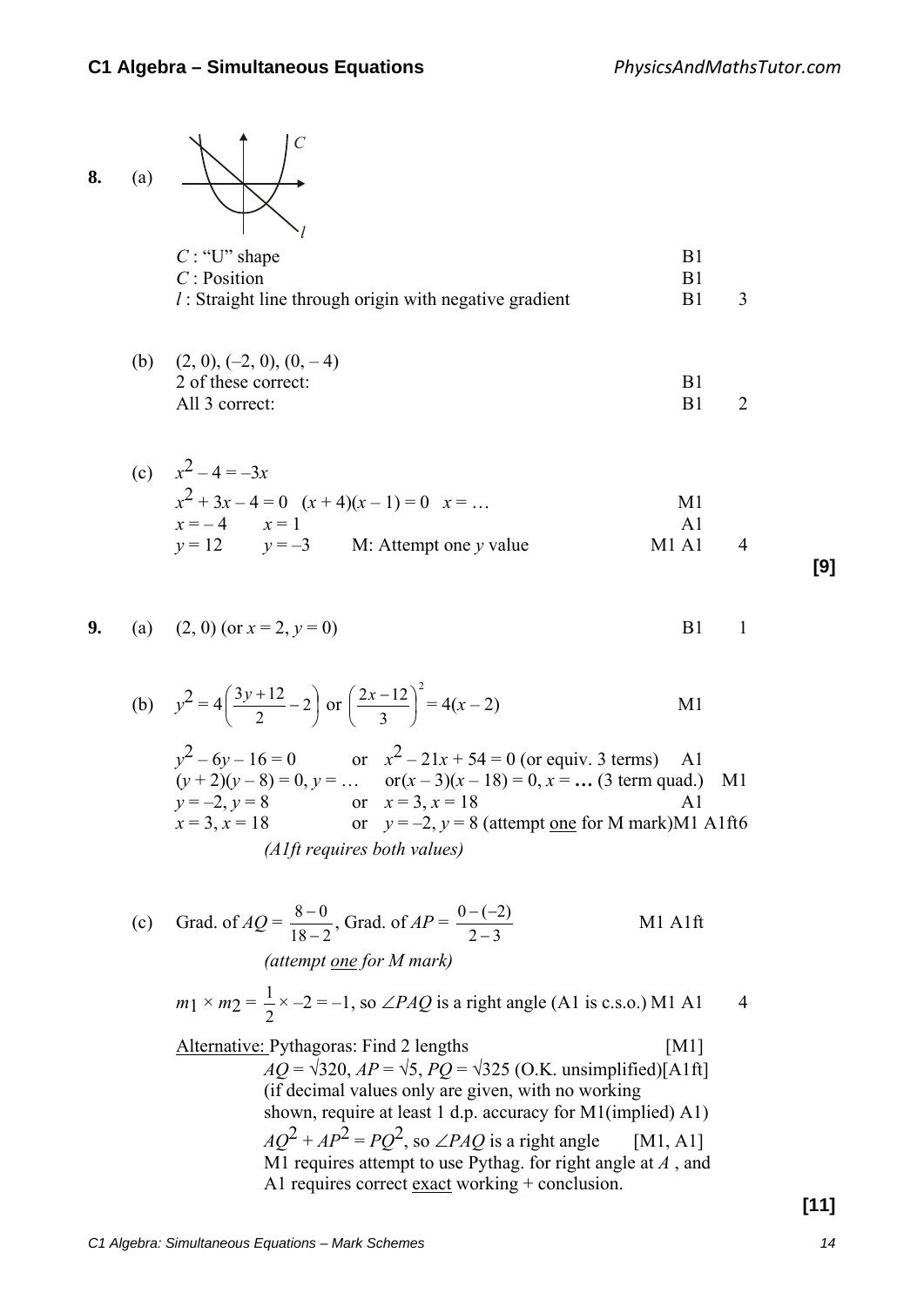8. (a)  
\nC: "U" shape  
\nC: Position  
\n1: Straight line through origin with negative gradient  
\n(b) (2, 0), (-2, 0), (0, -4)  
\n2 of these correct:  
\nAll 3 correct:  
\n(c) 
$$
x^2-4=-3x
$$
  
\n $x^2+3x-4=0$   $(x+4)(x-1)=0$   $x = ...$   
\n $x=-4$   $x=1$   
\n $y=12$   $y=-3$  M: Attempt one y value  
\nM1 A1 4

**9.** (a) 
$$
(2, 0)
$$
 (or  $x = 2, y = 0$ )   
B1 1

(b) 
$$
y^2 = 4\left(\frac{3y+12}{2} - 2\right)
$$
 or  $\left(\frac{2x-12}{3}\right)^2 = 4(x-2)$    
\n $y^2 - 6y - 16 = 0$  or  $x^2 - 21x + 54 = 0$  (or equiv. 3 terms) A1  
\n $(y+2)(y-8) = 0, y = ...$  or  $(x-3)(x-18) = 0, x = ...$  (3 term quad.) M1  
\n $y = -2, y = 8$  or  $x = 3, x = 18$  A1  
\n $x = 3, x = 18$  or  $y = -2, y = 8$  (attempt one for M mark)M1 A1ft6  
\n(*Alft requires both values*)

(c) Grad. of 
$$
AQ = \frac{8-0}{18-2}
$$
, Grad. of  $AP = \frac{0-(-2)}{2-3}$  M1 A1ft  
\n(*attempt* one *for M mark*)  
\n $m_1 \times m_2 = \frac{1}{2} \times -2 = -1$ , so  $\angle PAQ$  is a right angle (A1 is c.s.o.) M1 A1 4

| Alternative: Pythagoras: Find 2 lengths                                                                        | [M1] |
|----------------------------------------------------------------------------------------------------------------|------|
| $AQ = \sqrt{320}$ , $AP = \sqrt{5}$ , $PQ = \sqrt{325}$ (O.K. unsimplified)[A1ft]                              |      |
| (if decimal values only are given, with no working shown, require at least 1 d.p. accuracy for M1(implied) A1) |      |
| $AQ^2 + AP^2 = PQ^2$ , so $\angle PAQ$ is a right angle                                                        |      |
| [M1, A1]                                                                                                       |      |
| M1 requires attempt to use Pythag. for right angle at A, and A1 requires correct exact working + conclusion.   |      |

**[9]**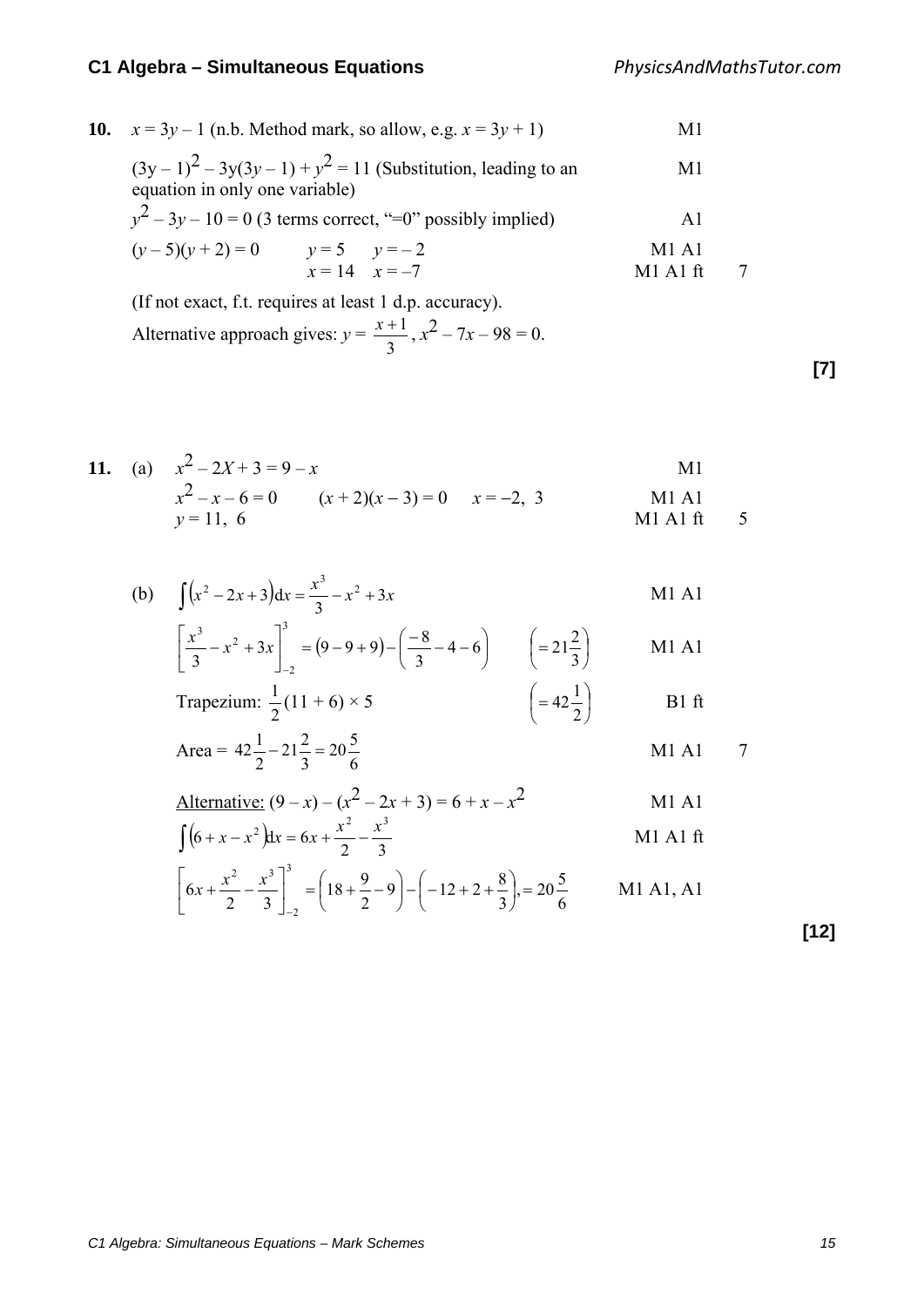| 10. $x = 3y - 1$ (n.b. Method mark, so allow, e.g. $x = 3y + 1$ )                               | M1                  |  |
|-------------------------------------------------------------------------------------------------|---------------------|--|
| $(3y-1)^2 - 3y(3y-1) + y^2 = 11$ (Substitution, leading to an<br>equation in only one variable) | M1                  |  |
| $y^2 - 3y - 10 = 0$ (3 terms correct, "=0" possibly implied)                                    | A <sub>1</sub>      |  |
| $(y-5)(y+2) = 0$ $y=5$ $y=-2$<br>$x = 14$ $x = -7$                                              | M1 A1<br>$M1$ Al ft |  |
| (If not exact, f.t. requires at least 1 d.p. accuracy).                                         |                     |  |

Alternative approach gives:  $y =$ 3  $\frac{x+1}{2}$ ,  $x^2 - 7x - 98 = 0$ .

**11.** (a) 
$$
x^2 - 2X + 3 = 9 - x
$$
  
\t $x^2 - x - 6 = 0$   $(x+2)(x-3) = 0$   $x = -2, 3$   
\t $y = 11, 6$    
\t $y = 11, 6$ 

(b) 
$$
\int (x^2 - 2x + 3) dx = \frac{x^3}{3} - x^2 + 3x
$$
 M1 A1

$$
\left[\frac{x^3}{3} - x^2 + 3x\right]_{-2}^{3} = (9 - 9 + 9) - \left(\frac{-8}{3} - 4 - 6\right) \qquad \left(= 21\frac{2}{3}\right) \qquad \text{M1 A1}
$$
  
Trapezium:  $\frac{1}{2}(11 + 6) \times 5$   $\left(= 42\frac{1}{2}\right)$  B1 ft

Trapezium: 
$$
\frac{1}{2}(11 + 6) \times 5
$$
  $\left( = 42\frac{1}{2} \right)$ 

\nB1 ft

Area = 
$$
42\frac{1}{2} - 21\frac{2}{3} = 20\frac{5}{6}
$$
 M1 A1 7

Alternative: 
$$
(9-x) - (x^2 - 2x + 3) = 6 + x - x^2
$$
  
\n
$$
\int (6 + x - x^2) dx = 6x + \frac{x^2}{2} - \frac{x^3}{3}
$$
\nM1 A1 ft

$$
\[6x + \frac{x^2}{2} - \frac{x^3}{3}\]_{-2}^{3} = \left(18 + \frac{9}{2} - 9\right) - \left(-12 + 2 + \frac{8}{3}\right) = 20\frac{5}{6} \qquad \text{M1 A1, A1}
$$

**[12]**

**[7]**

*C1 Algebra: Simultaneous Equations – Mark Schemes 15*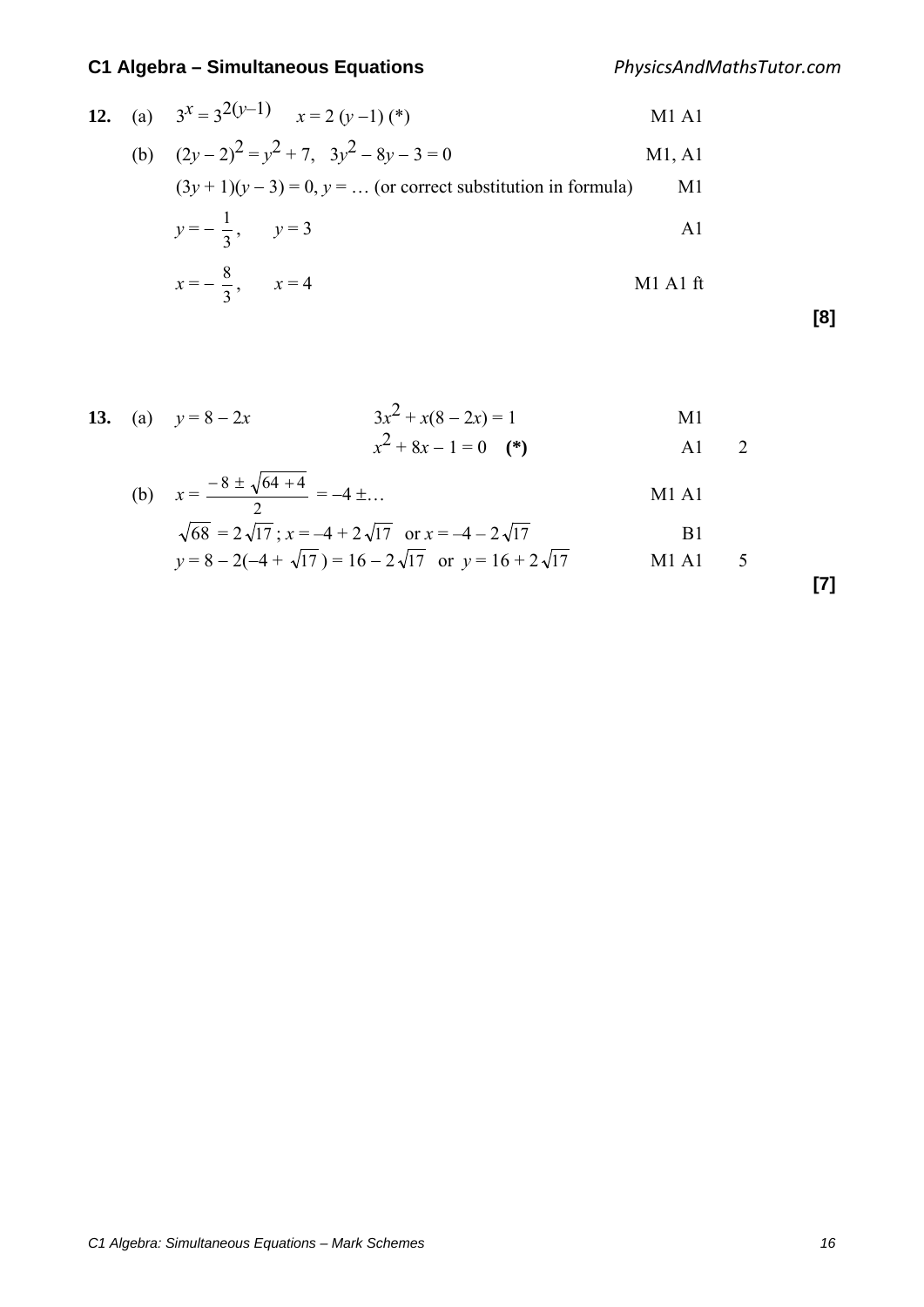|  | 12. (a) $3^x = 3^{2(y-1)}$ $x = 2(y-1)(*)$                    | M1 A1    |
|--|---------------------------------------------------------------|----------|
|  | (b) $(2y-2)^2 = y^2 + 7$ , $3y^2 - 8y - 3 = 0$                | M1, A1   |
|  | $(3y+1)(y-3)=0$ , $y = $ (or correct substitution in formula) | M1       |
|  | $y=-\frac{1}{3}, \quad y=3$                                   | A1       |
|  | $x = -\frac{8}{3}, \qquad x = 4$                              | M1 A1 ft |

**[8]**

**13.** (a) 
$$
y=8-2x
$$
  $3x^2 + x(8-2x) = 1$  M1  
 $x^2 + 8x - 1 = 0$  (\*) M1 2

(b) 
$$
x = \frac{-8 \pm \sqrt{64 + 4}}{2} = -4 \pm ...
$$
 M1 A1  
 $\sqrt{68} = 2\sqrt{17} : x = -4 + 2\sqrt{17}$  or  $x = -4 - 2\sqrt{17}$  B1

$$
y=8-2(-4+\sqrt{17})=16-2\sqrt{17}
$$
 or  $y=16+2\sqrt{17}$  M1 A1 5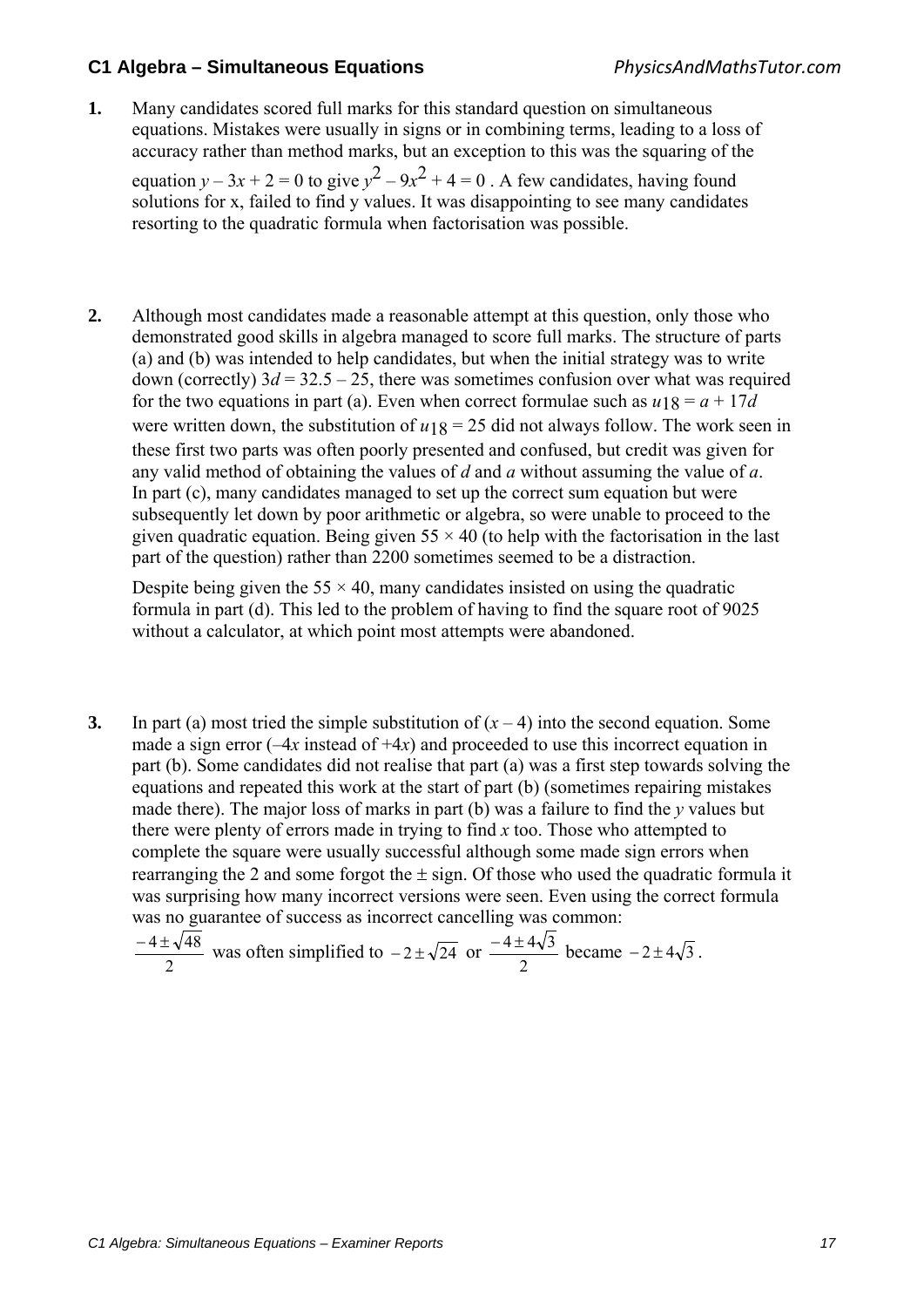**1.** Many candidates scored full marks for this standard question on simultaneous equations. Mistakes were usually in signs or in combining terms, leading to a loss of accuracy rather than method marks, but an exception to this was the squaring of the equation  $y - 3x + 2 = 0$  to give  $y^2 - 9x^2 + 4 = 0$ . A few candidates, having found

solutions for x, failed to find y values. It was disappointing to see many candidates resorting to the quadratic formula when factorisation was possible.

**2.** Although most candidates made a reasonable attempt at this question, only those who demonstrated good skills in algebra managed to score full marks. The structure of parts (a) and (b) was intended to help candidates, but when the initial strategy was to write down (correctly)  $3d = 32.5 - 25$ , there was sometimes confusion over what was required for the two equations in part (a). Even when correct formulae such as  $u_1g = a + 17d$ were written down, the substitution of  $u_1g = 25$  did not always follow. The work seen in these first two parts was often poorly presented and confused, but credit was given for any valid method of obtaining the values of *d* and *a* without assuming the value of *a*. In part (c), many candidates managed to set up the correct sum equation but were subsequently let down by poor arithmetic or algebra, so were unable to proceed to the given quadratic equation. Being given  $55 \times 40$  (to help with the factorisation in the last part of the question) rather than 2200 sometimes seemed to be a distraction.

Despite being given the  $55 \times 40$ , many candidates insisted on using the quadratic formula in part (d). This led to the problem of having to find the square root of 9025 without a calculator, at which point most attempts were abandoned.

**3.** In part (a) most tried the simple substitution of  $(x - 4)$  into the second equation. Some made a sign error  $(-4x \text{ instead of } +4x)$  and proceeded to use this incorrect equation in part (b). Some candidates did not realise that part (a) was a first step towards solving the equations and repeated this work at the start of part (b) (sometimes repairing mistakes made there). The major loss of marks in part (b) was a failure to find the *y* values but there were plenty of errors made in trying to find *x* too. Those who attempted to complete the square were usually successful although some made sign errors when rearranging the 2 and some forgot the  $\pm$  sign. Of those who used the quadratic formula it was surprising how many incorrect versions were seen. Even using the correct formula was no guarantee of success as incorrect cancelling was common:

$$
\frac{-4 \pm \sqrt{48}}{2}
$$
 was often simplified to  $-2 \pm \sqrt{24}$  or  $\frac{-4 \pm 4\sqrt{3}}{2}$  became  $-2 \pm 4\sqrt{3}$ .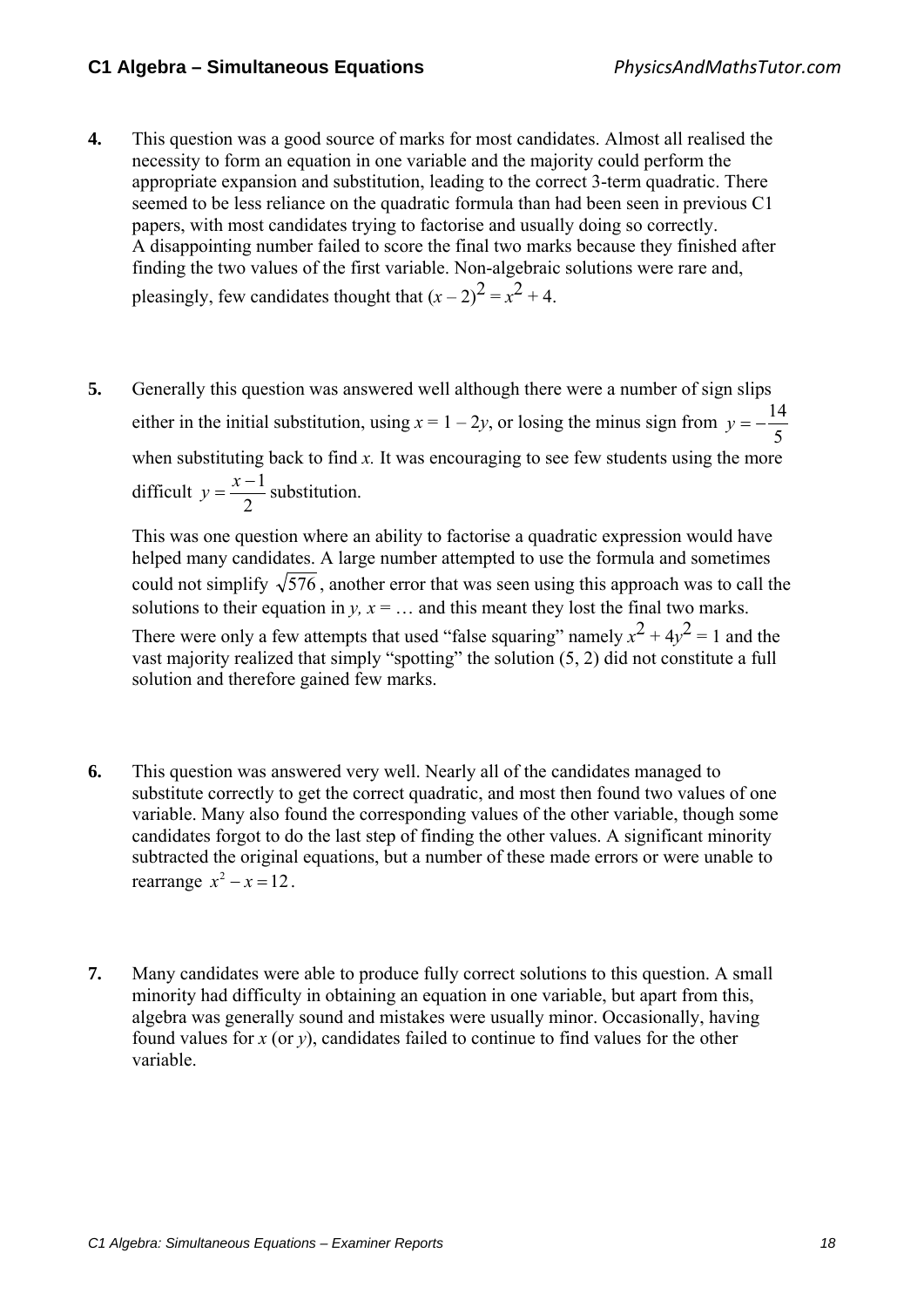- **4.** This question was a good source of marks for most candidates. Almost all realised the necessity to form an equation in one variable and the majority could perform the appropriate expansion and substitution, leading to the correct 3-term quadratic. There seemed to be less reliance on the quadratic formula than had been seen in previous C1 papers, with most candidates trying to factorise and usually doing so correctly. A disappointing number failed to score the final two marks because they finished after finding the two values of the first variable. Non-algebraic solutions were rare and, pleasingly, few candidates thought that  $(x - 2)^2 = x^2 + 4$ .
- **5.** Generally this question was answered well although there were a number of sign slips either in the initial substitution, using  $x = 1 - 2y$ , or losing the minus sign from  $y = -\frac{14}{5}$ when substituting back to find x. It was encouraging to see few students using the more difficult 2  $y = \frac{x-1}{2}$  substitution.

 This was one question where an ability to factorise a quadratic expression would have helped many candidates. A large number attempted to use the formula and sometimes could not simplify  $\sqrt{576}$ , another error that was seen using this approach was to call the solutions to their equation in  $y, x = ...$  and this meant they lost the final two marks. There were only a few attempts that used "false squaring" namely  $x^2 + 4y^2 = 1$  and the vast majority realized that simply "spotting" the solution (5, 2) did not constitute a full

solution and therefore gained few marks.

- **6.** This question was answered very well. Nearly all of the candidates managed to substitute correctly to get the correct quadratic, and most then found two values of one variable. Many also found the corresponding values of the other variable, though some candidates forgot to do the last step of finding the other values. A significant minority subtracted the original equations, but a number of these made errors or were unable to rearrange  $x^2 - x = 12$ .
- **7.** Many candidates were able to produce fully correct solutions to this question. A small minority had difficulty in obtaining an equation in one variable, but apart from this, algebra was generally sound and mistakes were usually minor. Occasionally, having found values for *x* (or *y*), candidates failed to continue to find values for the other variable.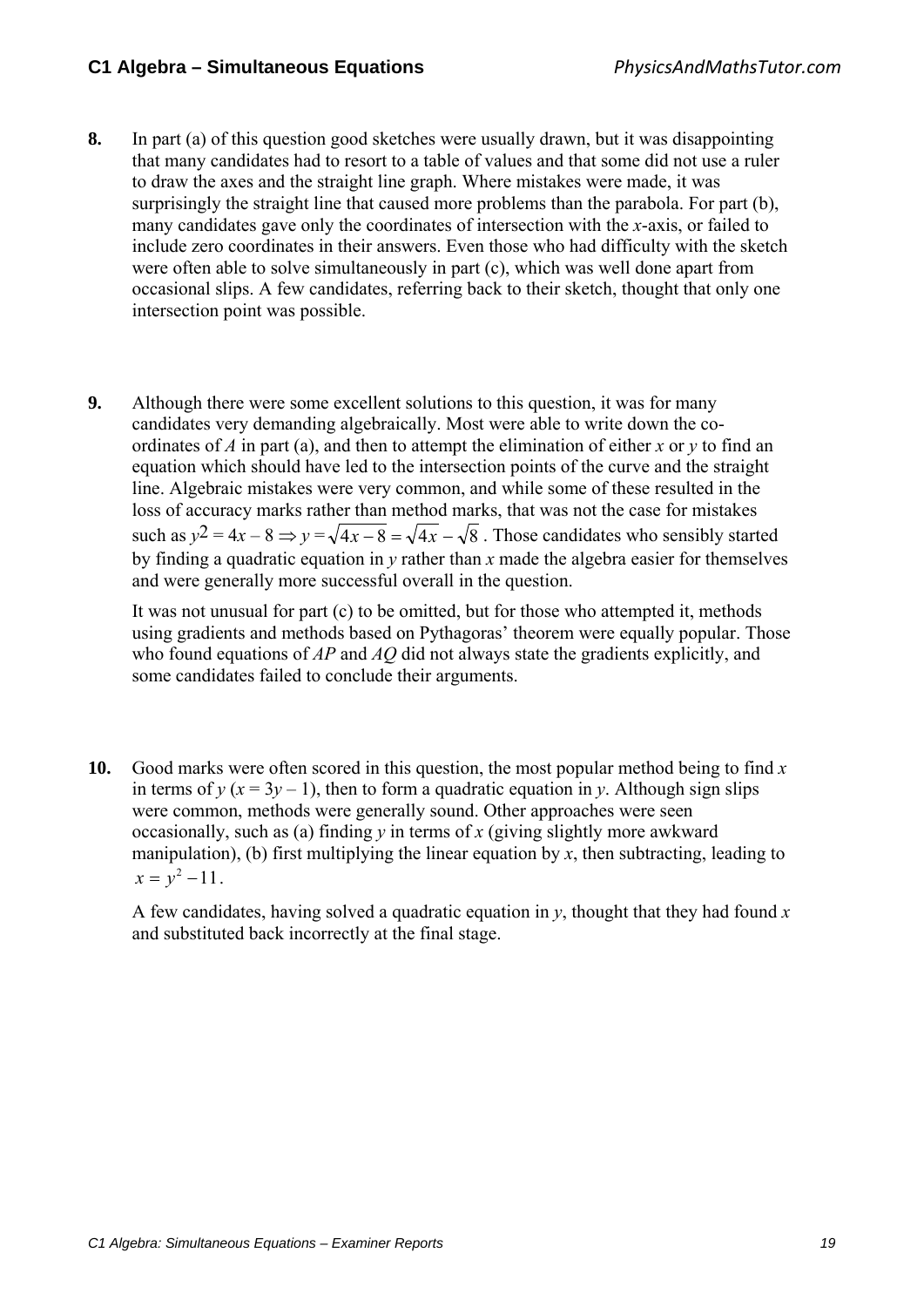- **8.** In part (a) of this question good sketches were usually drawn, but it was disappointing that many candidates had to resort to a table of values and that some did not use a ruler to draw the axes and the straight line graph. Where mistakes were made, it was surprisingly the straight line that caused more problems than the parabola. For part (b), many candidates gave only the coordinates of intersection with the *x*-axis, or failed to include zero coordinates in their answers. Even those who had difficulty with the sketch were often able to solve simultaneously in part (c), which was well done apart from occasional slips. A few candidates, referring back to their sketch, thought that only one intersection point was possible.
- **9.** Although there were some excellent solutions to this question, it was for many candidates very demanding algebraically. Most were able to write down the coordinates of *A* in part (a), and then to attempt the elimination of either *x* or *y* to find an equation which should have led to the intersection points of the curve and the straight line. Algebraic mistakes were very common, and while some of these resulted in the loss of accuracy marks rather than method marks, that was not the case for mistakes such as  $y^2 = 4x - 8 \Rightarrow y = \sqrt{4x - 8} = \sqrt{4x} - \sqrt{8}$ . Those candidates who sensibly started by finding a quadratic equation in *y* rather than *x* made the algebra easier for themselves and were generally more successful overall in the question.

 It was not unusual for part (c) to be omitted, but for those who attempted it, methods using gradients and methods based on Pythagoras' theorem were equally popular. Those who found equations of *AP* and *AQ* did not always state the gradients explicitly, and some candidates failed to conclude their arguments.

**10.** Good marks were often scored in this question, the most popular method being to find *x* in terms of  $y$  ( $x = 3y - 1$ ), then to form a quadratic equation in *y*. Although sign slips were common, methods were generally sound. Other approaches were seen occasionally, such as (a) finding *y* in terms of *x* (giving slightly more awkward manipulation), (b) first multiplying the linear equation by  $x$ , then subtracting, leading to  $x = v^2 - 11$ .

 A few candidates, having solved a quadratic equation in *y*, thought that they had found *x* and substituted back incorrectly at the final stage.